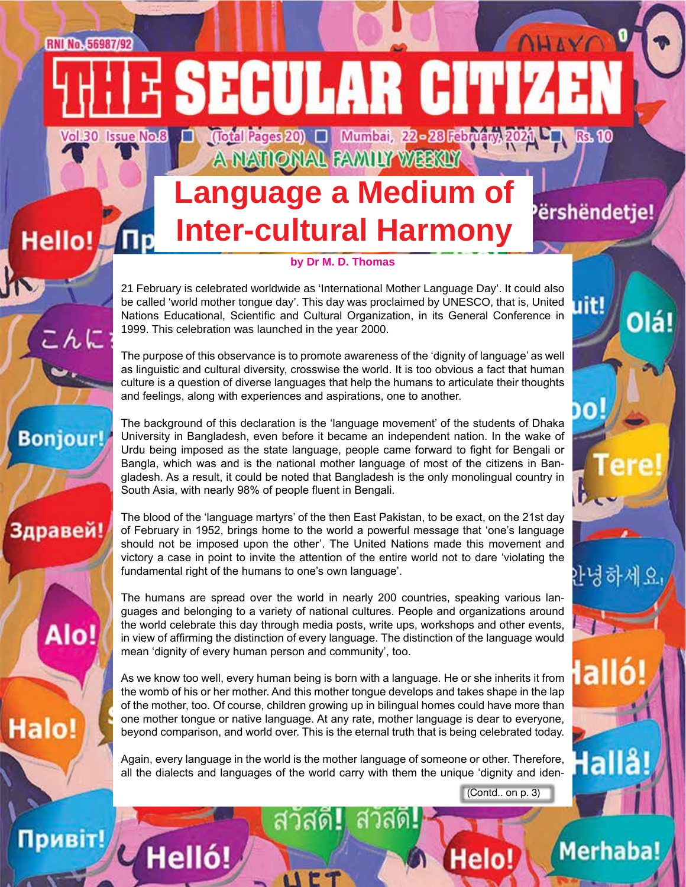## **Language a Medium of Inter-cultural Harmony Неllo!** Пр

A NATIONAL FAMILY WEEKLY

**SECULAR CITI** 

(Total Pages 20) [ Mumbai, 22 - 28 February 2021 LT Rs. 10

ershëndetje!

uit!

o!

<sup>} -</sup>녕하세요

lalló

lallå!

**Merhaba!** 

Olá!

LAVO

#### **by Dr M. D. Thomas**

21 February is celebrated worldwide as 'International Mother Language Day'. It could also be called 'world mother tongue day'. This day was proclaimed by UNESCO, that is, United Nations Educational, Scientific and Cultural Organization, in its General Conference in 1999. This celebration was launched in the year 2000.

The purpose of this observance is to promote awareness of the 'dignity of language' as well as linguistic and cultural diversity, crosswise the world. It is too obvious a fact that human culture is a question of diverse languages that help the humans to articulate their thoughts and feelings, along with experiences and aspirations, one to another.

The background of this declaration is the 'language movement' of the students of Dhaka University in Bangladesh, even before it became an independent nation. In the wake of Urdu being imposed as the state language, people came forward to fight for Bengali or Bangla, which was and is the national mother language of most of the citizens in Bangladesh. As a result, it could be noted that Bangladesh is the only monolingual country in South Asia, with nearly 98% of people fluent in Bengali.

The blood of the 'language martyrs' of the then East Pakistan, to be exact, on the 21st day of February in 1952, brings home to the world a powerful message that 'one's language should not be imposed upon the other'. The United Nations made this movement and victory a case in point to invite the attention of the entire world not to dare 'violating the fundamental right of the humans to one's own language'.

The humans are spread over the world in nearly 200 countries, speaking various languages and belonging to a variety of national cultures. People and organizations around the world celebrate this day through media posts, write ups, workshops and other events, in view of affirming the distinction of every language. The distinction of the language would mean 'dignity of every human person and community', too.

As we know too well, every human being is born with a language. He or she inherits it from the womb of his or her mother. And this mother tongue develops and takes shape in the lap of the mother, too. Of course, children growing up in bilingual homes could have more than one mother tongue or native language. At any rate, mother language is dear to everyone, beyond comparison, and world over. This is the eternal truth that is being celebrated today.

Again, every language in the world is the mother language of someone or other. Therefore, all the dialects and languages of the world carry with them the unique 'dignity and iden-

**UE7** 

(Contd.. on p. 3)

Helo!



**RNI No. 56987/92** 

こんに

**Bonjour!** 

Здравей!

Alo!

Halo!

Vol.30 Issue No.8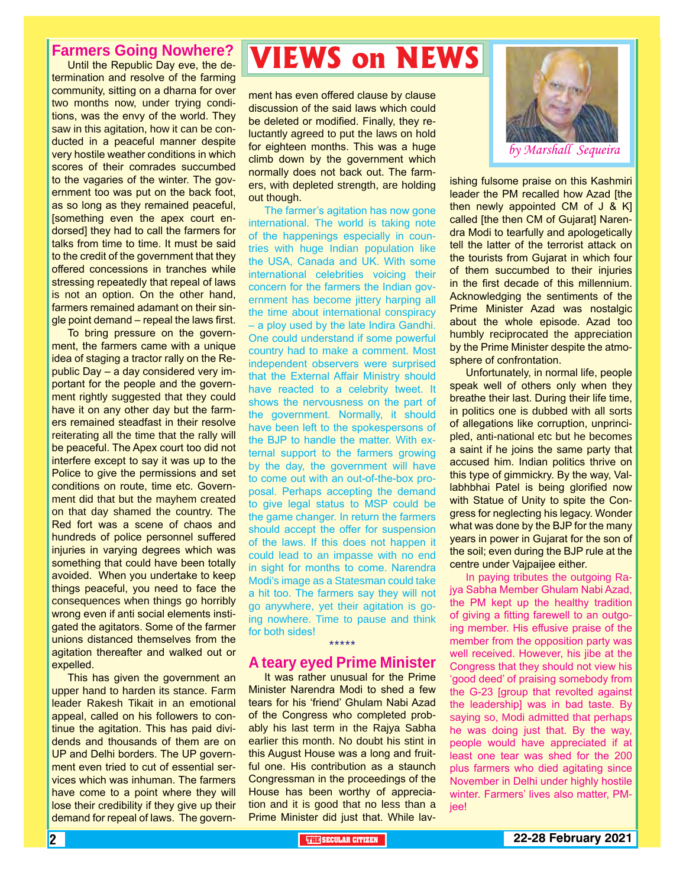#### **Farmers Going Nowhere?**

Until the Republic Day eve, the determination and resolve of the farming community, sitting on a dharna for over two months now, under trying conditions, was the envy of the world. They saw in this agitation, how it can be conducted in a peaceful manner despite very hostile weather conditions in which scores of their comrades succumbed to the vagaries of the winter. The government too was put on the back foot, as so long as they remained peaceful, [something even the apex court endorsed] they had to call the farmers for talks from time to time. It must be said to the credit of the government that they offered concessions in tranches while stressing repeatedly that repeal of laws is not an option. On the other hand, farmers remained adamant on their single point demand – repeal the laws first.

To bring pressure on the government, the farmers came with a unique idea of staging a tractor rally on the Republic Day – a day considered very important for the people and the government rightly suggested that they could have it on any other day but the farmers remained steadfast in their resolve reiterating all the time that the rally will be peaceful. The Apex court too did not interfere except to say it was up to the Police to give the permissions and set conditions on route, time etc. Government did that but the mayhem created on that day shamed the country. The Red fort was a scene of chaos and hundreds of police personnel suffered injuries in varying degrees which was something that could have been totally avoided. When you undertake to keep things peaceful, you need to face the consequences when things go horribly wrong even if anti social elements instigated the agitators. Some of the farmer unions distanced themselves from the agitation thereafter and walked out or expelled.

This has given the government an upper hand to harden its stance. Farm leader Rakesh Tikait in an emotional appeal, called on his followers to continue the agitation. This has paid dividends and thousands of them are on UP and Delhi borders. The UP government even tried to cut of essential services which was inhuman. The farmers have come to a point where they will lose their credibility if they give up their demand for repeal of laws. The govern-

## **VIEWS on NEWS**

ment has even offered clause by clause discussion of the said laws which could be deleted or modified. Finally, they reluctantly agreed to put the laws on hold for eighteen months. This was a huge climb down by the government which normally does not back out. The farmers, with depleted strength, are holding out though.

The farmer's agitation has now gone international. The world is taking note of the happenings especially in countries with huge Indian population like the USA, Canada and UK. With some international celebrities voicing their concern for the farmers the Indian government has become jittery harping all the time about international conspiracy – a ploy used by the late Indira Gandhi. One could understand if some powerful country had to make a comment. Most independent observers were surprised that the External Affair Ministry should have reacted to a celebrity tweet. It shows the nervousness on the part of the government. Normally, it should have been left to the spokespersons of the BJP to handle the matter. With external support to the farmers growing by the day, the government will have to come out with an out-of-the-box proposal. Perhaps accepting the demand to give legal status to MSP could be the game changer. In return the farmers should accept the offer for suspension of the laws. If this does not happen it could lead to an impasse with no end in sight for months to come. Narendra Modi's image as a Statesman could take a hit too. The farmers say they will not go anywhere, yet their agitation is going nowhere. Time to pause and think for both sides!

#### \*\*\*\*\*

#### **A teary eyed Prime Minister**

It was rather unusual for the Prime Minister Narendra Modi to shed a few tears for his 'friend' Ghulam Nabi Azad of the Congress who completed probably his last term in the Rajya Sabha earlier this month. No doubt his stint in this August House was a long and fruitful one. His contribution as a staunch Congressman in the proceedings of the House has been worthy of appreciation and it is good that no less than a Prime Minister did just that. While lav-



ishing fulsome praise on this Kashmiri leader the PM recalled how Azad [the then newly appointed CM of J & K] called [the then CM of Gujarat] Narendra Modi to tearfully and apologetically tell the latter of the terrorist attack on the tourists from Gujarat in which four of them succumbed to their injuries in the first decade of this millennium. Acknowledging the sentiments of the Prime Minister Azad was nostalgic about the whole episode. Azad too humbly reciprocated the appreciation by the Prime Minister despite the atmosphere of confrontation.

Unfortunately, in normal life, people speak well of others only when they breathe their last. During their life time, in politics one is dubbed with all sorts of allegations like corruption, unprincipled, anti-national etc but he becomes a saint if he joins the same party that accused him. Indian politics thrive on this type of gimmickry. By the way, Vallabhbhai Patel is being glorified now with Statue of Unity to spite the Congress for neglecting his legacy. Wonder what was done by the BJP for the many years in power in Gujarat for the son of the soil; even during the BJP rule at the centre under Vajpaijee either.

In paying tributes the outgoing Rajya Sabha Member Ghulam Nabi Azad, the PM kept up the healthy tradition of giving a fitting farewell to an outgoing member. His effusive praise of the member from the opposition party was well received. However, his jibe at the Congress that they should not view his 'good deed' of praising somebody from the G-23 [group that revolted against the leadership] was in bad taste. By saying so, Modi admitted that perhaps he was doing just that. By the way, people would have appreciated if at least one tear was shed for the 200 plus farmers who died agitating since November in Delhi under highly hostile winter. Farmers' lives also matter, PMjee!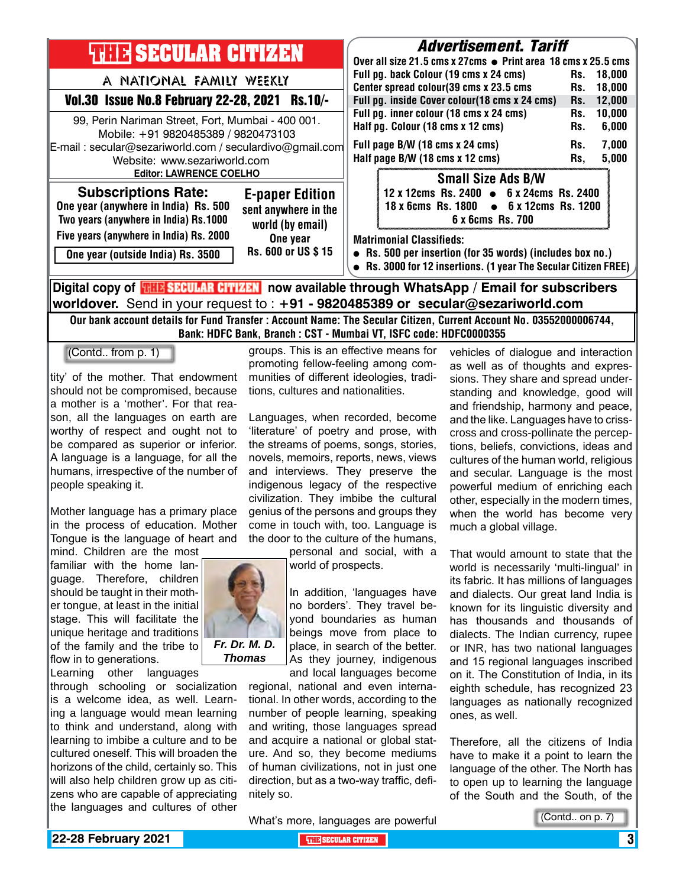| <b>THE SECULAR CITIZEN</b>                                                                                                                                                        | <b>Advertisement. Tariff</b><br>Over all size 21.5 cms x 27cms • Print area 18 cms x 25.5 cms                                                                   |
|-----------------------------------------------------------------------------------------------------------------------------------------------------------------------------------|-----------------------------------------------------------------------------------------------------------------------------------------------------------------|
| A NATIONAL FAMILY WEEKLY                                                                                                                                                          | Full pg. back Colour (19 cms x 24 cms)<br>18.000<br>Rs.<br>Center spread colour(39 cms x 23.5 cms<br>18,000<br>Rs.                                              |
| Vol.30 Issue No.8 February 22-28, 2021 Rs.10/-                                                                                                                                    | Full pg. inside Cover colour(18 cms x 24 cms)<br>12,000<br>Rs.                                                                                                  |
| 99, Perin Nariman Street, Fort, Mumbai - 400 001.<br>Mobile: +91 9820485389 / 9820473103                                                                                          | Full pg. inner colour (18 cms x 24 cms)<br>10,000<br>Rs.<br>Half pg. Colour (18 cms x 12 cms)<br>6,000<br>Rs.                                                   |
| E-mail: secular@sezariworld.com / seculardivo@gmail.com<br>Website: www.sezariworld.com                                                                                           | 7,000<br>Full page B/W (18 cms x 24 cms)<br>Rs.<br>Half page B/W (18 cms x 12 cms)<br>5,000<br>Rs.                                                              |
| <b>Editor: LAWRENCE COELHO</b>                                                                                                                                                    | <b>Small Size Ads B/W</b>                                                                                                                                       |
| <b>Subscriptions Rate:</b><br><b>E-paper Edition</b><br>One year (anywhere in India) Rs. 500<br>sent anywhere in the<br>Two years (anywhere in India) Rs.1000<br>world (by email) | 12 x 12cms Rs. 2400 • 6 x 24cms Rs. 2400<br>18 x 6cms Rs. 1800 • 6 x 12cms Rs. 1200<br>6 x 6cms Rs. 700                                                         |
| Five years (anywhere in India) Rs. 2000<br>One year<br>Rs. 600 or US \$15<br>One year (outside India) Rs. 3500                                                                    | <b>Matrimonial Classifieds:</b><br>• Rs. 500 per insertion (for 35 words) (includes box no.)<br>• Rs. 3000 for 12 insertions. (1 year The Secular Citizen FREE) |
| Digital copy of <mark>THE SECULAR CITIZEN</mark> now available through WhatsApp / Email for subscribers                                                                           |                                                                                                                                                                 |

**worldover.** Send in your request to : **+91 - 9820485389 or secular@sezariworld.com**

Our bank account details for Fund Transfer : Account Name: The Secular Citizen, Current Account No. 03552000006744, Bank: HDFC Bank, Branch : CST - Mumbai VT, ISFC code: HDFC0000355

(Contd.. from p. 1)

tity' of the mother. That endowment should not be compromised, because a mother is a 'mother'. For that reason, all the languages on earth are worthy of respect and ought not to be compared as superior or inferior. A language is a language, for all the humans, irrespective of the number of people speaking it.

Mother language has a primary place in the process of education. Mother Tongue is the language of heart and mind. Children are the most

familiar with the home language. Therefore, children should be taught in their mother tongue, at least in the initial stage. This will facilitate the unique heritage and traditions of the family and the tribe to flow in to generations.



groups. This is an effective means for promoting fellow-feeling among communities of different ideologies, traditions, cultures and nationalities.

Languages, when recorded, become 'literature' of poetry and prose, with the streams of poems, songs, stories, novels, memoirs, reports, news, views and interviews. They preserve the indigenous legacy of the respective civilization. They imbibe the cultural genius of the persons and groups they come in touch with, too. Language is the door to the culture of the humans,

> personal and social, with a world of prospects.

In addition, 'languages have no borders'. They travel beyond boundaries as human beings move from place to place, in search of the better. As they journey, indigenous and local languages become

regional, national and even international. In other words, according to the number of people learning, speaking and writing, those languages spread and acquire a national or global stature. And so, they become mediums of human civilizations, not in just one direction, but as a two-way traffic, definitely so.

vehicles of dialogue and interaction as well as of thoughts and expressions. They share and spread understanding and knowledge, good will and friendship, harmony and peace, and the like. Languages have to crisscross and cross-pollinate the perceptions, beliefs, convictions, ideas and cultures of the human world, religious and secular. Language is the most powerful medium of enriching each other, especially in the modern times, when the world has become very much a global village.

That would amount to state that the world is necessarily 'multi-lingual' in its fabric. It has millions of languages and dialects. Our great land India is known for its linguistic diversity and has thousands and thousands of dialects. The Indian currency, rupee or INR, has two national languages and 15 regional languages inscribed on it. The Constitution of India, in its eighth schedule, has recognized 23 languages as nationally recognized ones, as well.

Therefore, all the citizens of India have to make it a point to learn the language of the other. The North has to open up to learning the language of the South and the South, of the

What's more, languages are powerful



*Fr. Dr. M. D. Thomas*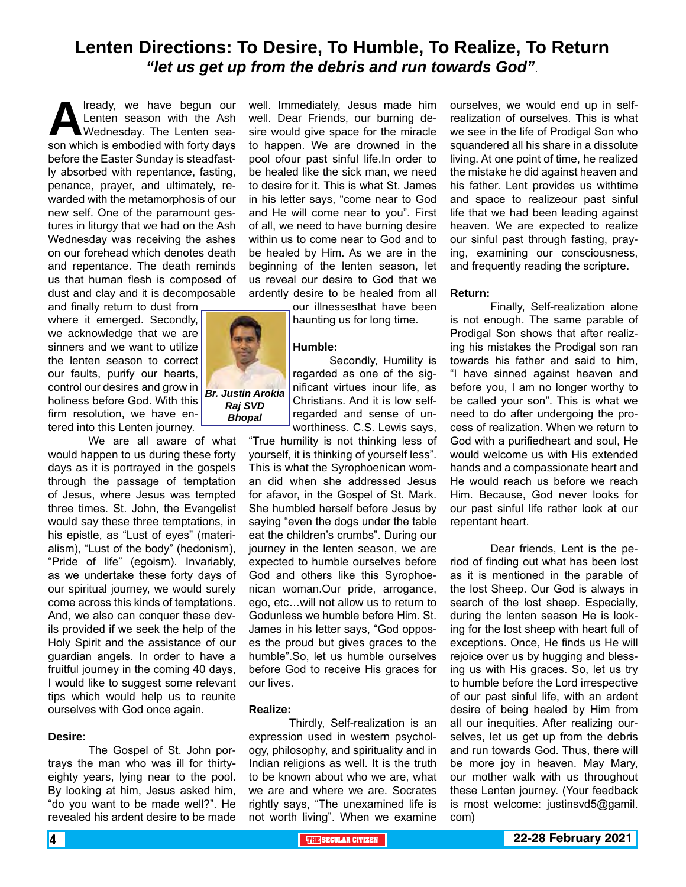### **Lenten Directions: To Desire, To Humble, To Realize, To Return** *"let us get up from the debris and run towards God"*.

**A** lready, we have begun our<br>Lenten season with the Ash<br>Son which is embodied with forty days Lenten season with the Ash Wednesday. The Lenten season which is embodied with forty days before the Easter Sunday is steadfastly absorbed with repentance, fasting, penance, prayer, and ultimately, rewarded with the metamorphosis of our new self. One of the paramount gestures in liturgy that we had on the Ash Wednesday was receiving the ashes on our forehead which denotes death and repentance. The death reminds us that human flesh is composed of dust and clay and it is decomposable

and finally return to dust from where it emerged. Secondly, we acknowledge that we are sinners and we want to utilize the lenten season to correct our faults, purify our hearts, control our desires and grow in holiness before God. With this firm resolution, we have entered into this Lenten journey.

We are all aware of what would happen to us during these forty days as it is portrayed in the gospels through the passage of temptation of Jesus, where Jesus was tempted three times. St. John, the Evangelist would say these three temptations, in his epistle, as "Lust of eyes" (materialism), "Lust of the body" (hedonism), "Pride of life" (egoism). Invariably, as we undertake these forty days of our spiritual journey, we would surely come across this kinds of temptations. And, we also can conquer these devils provided if we seek the help of the Holy Spirit and the assistance of our guardian angels. In order to have a fruitful journey in the coming 40 days, I would like to suggest some relevant tips which would help us to reunite ourselves with God once again.

#### **Desire:**

The Gospel of St. John portrays the man who was ill for thirtyeighty years, lying near to the pool. By looking at him, Jesus asked him, "do you want to be made well?". He revealed his ardent desire to be made

well. Immediately, Jesus made him well. Dear Friends, our burning desire would give space for the miracle to happen. We are drowned in the pool ofour past sinful life.In order to be healed like the sick man, we need to desire for it. This is what St. James in his letter says, "come near to God and He will come near to you". First of all, we need to have burning desire within us to come near to God and to be healed by Him. As we are in the beginning of the lenten season, let us reveal our desire to God that we ardently desire to be healed from all

our illnessesthat have been haunting us for long time.

#### **Humble:**

Secondly, Humility is regarded as one of the significant virtues inour life, as Christians. And it is low selfregarded and sense of unworthiness. C.S. Lewis says,

"True humility is not thinking less of yourself, it is thinking of yourself less". This is what the Syrophoenican woman did when she addressed Jesus for afavor, in the Gospel of St. Mark. She humbled herself before Jesus by saying "even the dogs under the table eat the children's crumbs". During our journey in the lenten season, we are expected to humble ourselves before God and others like this Syrophoenican woman.Our pride, arrogance, ego, etc…will not allow us to return to Godunless we humble before Him. St. James in his letter says, "God opposes the proud but gives graces to the humble".So, let us humble ourselves before God to receive His graces for our lives.

#### **Realize:**

Thirdly, Self-realization is an expression used in western psychology, philosophy, and spirituality and in Indian religions as well. It is the truth to be known about who we are, what we are and where we are. Socrates rightly says, "The unexamined life is not worth living". When we examine ourselves, we would end up in selfrealization of ourselves. This is what we see in the life of Prodigal Son who squandered all his share in a dissolute living. At one point of time, he realized the mistake he did against heaven and his father. Lent provides us withtime and space to realizeour past sinful life that we had been leading against heaven. We are expected to realize our sinful past through fasting, praying, examining our consciousness, and frequently reading the scripture.

#### **Return:**

Finally, Self-realization alone is not enough. The same parable of Prodigal Son shows that after realizing his mistakes the Prodigal son ran towards his father and said to him, "I have sinned against heaven and before you, I am no longer worthy to be called your son". This is what we need to do after undergoing the process of realization. When we return to God with a purifiedheart and soul, He would welcome us with His extended hands and a compassionate heart and He would reach us before we reach Him. Because, God never looks for our past sinful life rather look at our repentant heart.

Dear friends, Lent is the period of finding out what has been lost as it is mentioned in the parable of the lost Sheep. Our God is always in search of the lost sheep. Especially, during the lenten season He is looking for the lost sheep with heart full of exceptions. Once, He finds us He will rejoice over us by hugging and blessing us with His graces. So, let us try to humble before the Lord irrespective of our past sinful life, with an ardent desire of being healed by Him from all our inequities. After realizing ourselves, let us get up from the debris and run towards God. Thus, there will be more joy in heaven. May Mary, our mother walk with us throughout these Lenten journey. (Your feedback is most welcome: justinsvd5@gamil. com)

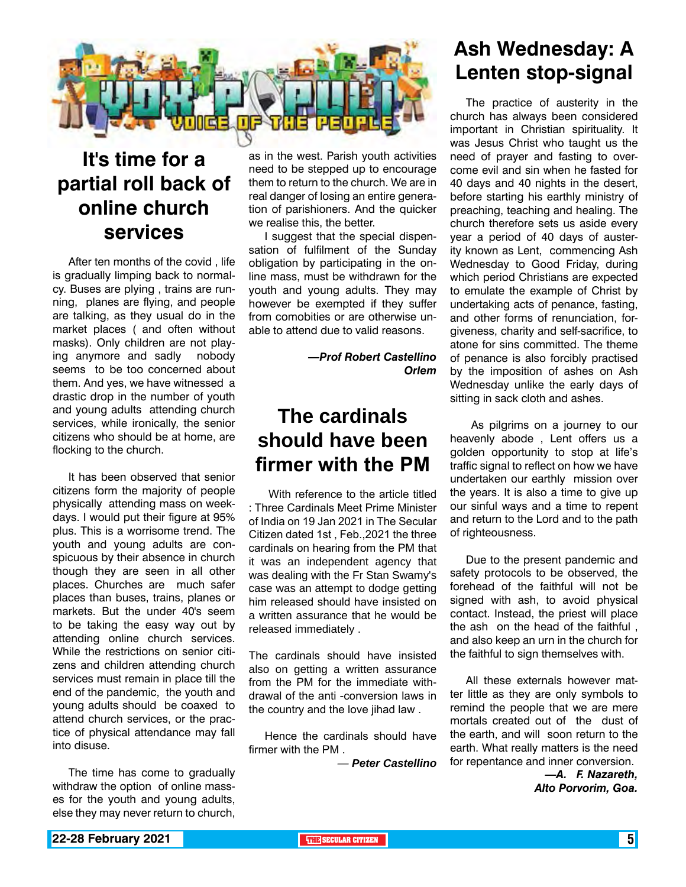

### **It's time for a partial roll back of online church services**

After ten months of the covid , life is gradually limping back to normalcy. Buses are plying , trains are running, planes are flying, and people are talking, as they usual do in the market places ( and often without masks). Only children are not playing anymore and sadly nobody seems to be too concerned about them. And yes, we have witnessed a drastic drop in the number of youth and young adults attending church services, while ironically, the senior citizens who should be at home, are flocking to the church.

It has been observed that senior citizens form the majority of people physically attending mass on weekdays. I would put their figure at 95% plus. This is a worrisome trend. The youth and young adults are conspicuous by their absence in church though they are seen in all other places. Churches are much safer places than buses, trains, planes or markets. But the under 40's seem to be taking the easy way out by attending online church services. While the restrictions on senior citizens and children attending church services must remain in place till the end of the pandemic, the youth and young adults should be coaxed to attend church services, or the practice of physical attendance may fall into disuse.

The time has come to gradually withdraw the option of online masses for the youth and young adults, else they may never return to church,

as in the west. Parish youth activities need to be stepped up to encourage them to return to the church. We are in real danger of losing an entire generation of parishioners. And the quicker we realise this, the better.

I suggest that the special dispensation of fulfilment of the Sunday obligation by participating in the online mass, must be withdrawn for the youth and young adults. They may however be exempted if they suffer from comobities or are otherwise unable to attend due to valid reasons.

> *—Prof Robert Castellino Orlem*

### **The cardinals should have been firmer with the PM**

With reference to the article titled : Three Cardinals Meet Prime Minister of India on 19 Jan 2021 in The Secular Citizen dated 1st , Feb.,2021 the three cardinals on hearing from the PM that it was an independent agency that was dealing with the Fr Stan Swamy's case was an attempt to dodge getting him released should have insisted on a written assurance that he would be released immediately .

The cardinals should have insisted also on getting a written assurance from the PM for the immediate withdrawal of the anti -conversion laws in the country and the love jihad law .

Hence the cardinals should have firmer with the PM .

*— Peter Castellino*

### **Ash Wednesday: A Lenten stop-signal**

The practice of austerity in the church has always been considered important in Christian spirituality. It was Jesus Christ who taught us the need of prayer and fasting to overcome evil and sin when he fasted for 40 days and 40 nights in the desert, before starting his earthly ministry of preaching, teaching and healing. The church therefore sets us aside every year a period of 40 days of austerity known as Lent, commencing Ash Wednesday to Good Friday, during which period Christians are expected to emulate the example of Christ by undertaking acts of penance, fasting, and other forms of renunciation, forgiveness, charity and self-sacrifice, to atone for sins committed. The theme of penance is also forcibly practised by the imposition of ashes on Ash Wednesday unlike the early days of sitting in sack cloth and ashes.

 As pilgrims on a journey to our heavenly abode , Lent offers us a golden opportunity to stop at life's traffic signal to reflect on how we have undertaken our earthly mission over the years. It is also a time to give up our sinful ways and a time to repent and return to the Lord and to the path of righteousness.

Due to the present pandemic and safety protocols to be observed, the forehead of the faithful will not be signed with ash, to avoid physical contact. Instead, the priest will place the ash on the head of the faithful , and also keep an urn in the church for the faithful to sign themselves with.

All these externals however matter little as they are only symbols to remind the people that we are mere mortals created out of the dust of the earth, and will soon return to the earth. What really matters is the need for repentance and inner conversion.

> *—A. F. Nazareth, Alto Porvorim, Goa.*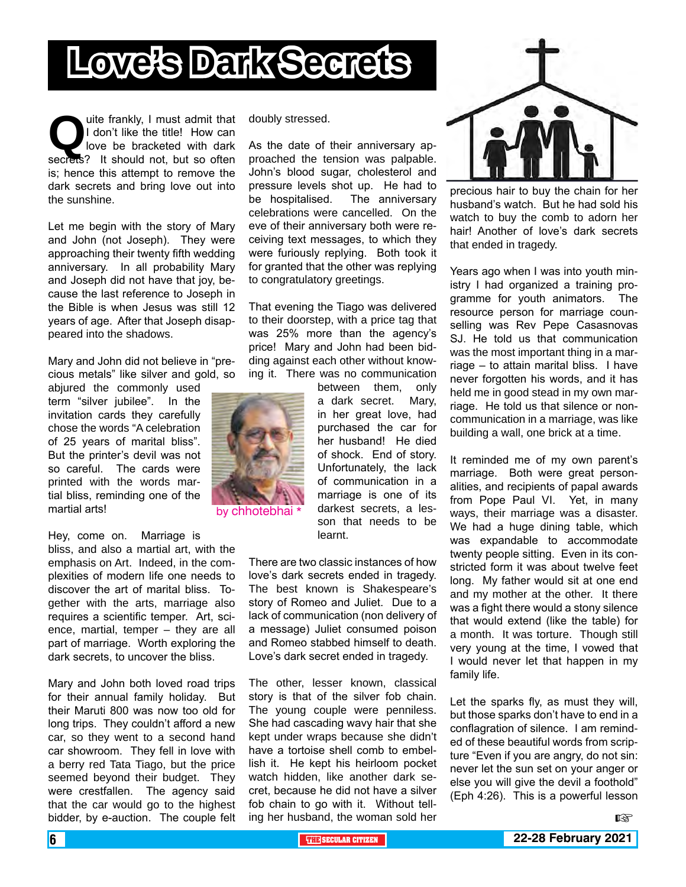# **Love's Dark Secrets**

**Q**uite frankly, I must admit that I don't like the title! How can love be bracketed with dark secrets? It should not, but so often I don't like the title! How can love be bracketed with dark is; hence this attempt to remove the dark secrets and bring love out into the sunshine.

Let me begin with the story of Mary and John (not Joseph). They were approaching their twenty fifth wedding anniversary. In all probability Mary and Joseph did not have that joy, because the last reference to Joseph in the Bible is when Jesus was still 12 years of age. After that Joseph disappeared into the shadows.

Mary and John did not believe in "precious metals" like silver and gold, so

abjured the commonly used term "silver jubilee". In the invitation cards they carefully chose the words "A celebration of 25 years of marital bliss". But the printer's devil was not so careful. The cards were printed with the words martial bliss, reminding one of the martial arts!

Hey, come on. Marriage is

bliss, and also a martial art, with the emphasis on Art. Indeed, in the complexities of modern life one needs to discover the art of marital bliss. Together with the arts, marriage also requires a scientific temper. Art, science, martial, temper – they are all part of marriage. Worth exploring the dark secrets, to uncover the bliss.

Mary and John both loved road trips for their annual family holiday. But their Maruti 800 was now too old for long trips. They couldn't afford a new car, so they went to a second hand car showroom. They fell in love with a berry red Tata Tiago, but the price seemed beyond their budget. They were crestfallen. The agency said that the car would go to the highest bidder, by e-auction. The couple felt doubly stressed.

As the date of their anniversary approached the tension was palpable. John's blood sugar, cholesterol and pressure levels shot up. He had to be hospitalised. The anniversary celebrations were cancelled. On the eve of their anniversary both were receiving text messages, to which they were furiously replying. Both took it for granted that the other was replying to congratulatory greetings.

That evening the Tiago was delivered to their doorstep, with a price tag that was 25% more than the agency's price! Mary and John had been bidding against each other without knowing it. There was no communication

> between them, only a dark secret. Mary, in her great love, had purchased the car for her husband! He died of shock. End of story. Unfortunately, the lack of communication in a marriage is one of its darkest secrets, a lesson that needs to be learnt.

There are two classic instances of how love's dark secrets ended in tragedy. The best known is Shakespeare's story of Romeo and Juliet. Due to a lack of communication (non delivery of a message) Juliet consumed poison and Romeo stabbed himself to death. Love's dark secret ended in tragedy.

The other, lesser known, classical story is that of the silver fob chain. The young couple were penniless. She had cascading wavy hair that she kept under wraps because she didn't have a tortoise shell comb to embellish it. He kept his heirloom pocket watch hidden, like another dark secret, because he did not have a silver fob chain to go with it. Without telling her husband, the woman sold her



precious hair to buy the chain for her husband's watch. But he had sold his watch to buy the comb to adorn her hair! Another of love's dark secrets that ended in tragedy.

Years ago when I was into youth ministry I had organized a training programme for youth animators. The resource person for marriage counselling was Rev Pepe Casasnovas SJ. He told us that communication was the most important thing in a marriage – to attain marital bliss. I have never forgotten his words, and it has held me in good stead in my own marriage. He told us that silence or noncommunication in a marriage, was like building a wall, one brick at a time.

It reminded me of my own parent's marriage. Both were great personalities, and recipients of papal awards from Pope Paul VI. Yet, in many ways, their marriage was a disaster. We had a huge dining table, which was expandable to accommodate twenty people sitting. Even in its constricted form it was about twelve feet long. My father would sit at one end and my mother at the other. It there was a fight there would a stony silence that would extend (like the table) for a month. It was torture. Though still very young at the time, I vowed that I would never let that happen in my family life.

Let the sparks fly, as must they will, but those sparks don't have to end in a conflagration of silence. I am reminded of these beautiful words from scripture "Even if you are angry, do not sin: never let the sun set on your anger or else you will give the devil a foothold" (Eph 4:26). This is a powerful lesson



by chhotebhai \*

哸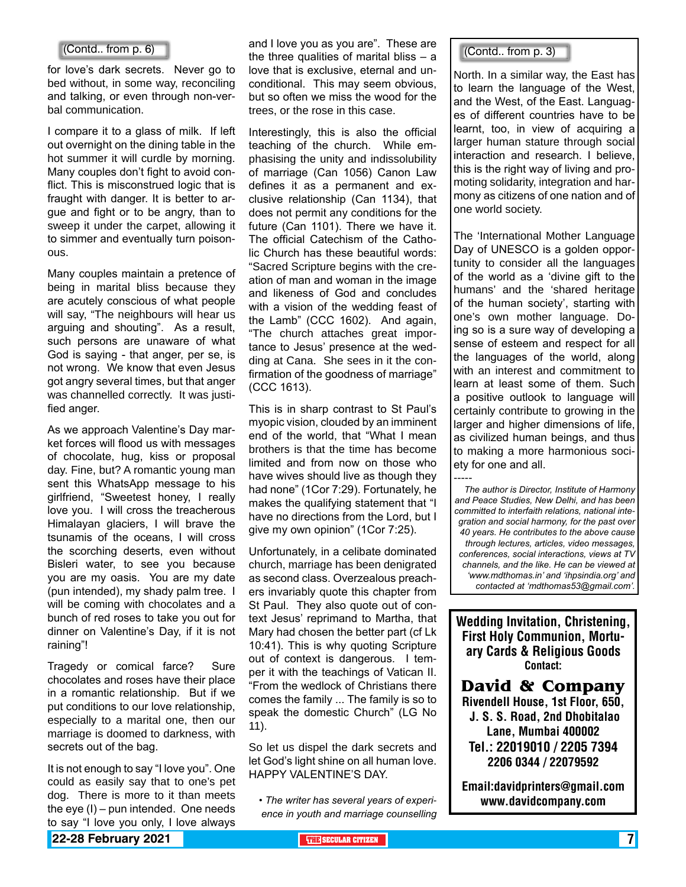for love's dark secrets. Never go to bed without, in some way, reconciling and talking, or even through non-verbal communication.

I compare it to a glass of milk. If left out overnight on the dining table in the hot summer it will curdle by morning. Many couples don't fight to avoid conflict. This is misconstrued logic that is fraught with danger. It is better to argue and fight or to be angry, than to sweep it under the carpet, allowing it to simmer and eventually turn poisonous.

Many couples maintain a pretence of being in marital bliss because they are acutely conscious of what people will say, "The neighbours will hear us arguing and shouting". As a result, such persons are unaware of what God is saying - that anger, per se, is not wrong. We know that even Jesus got angry several times, but that anger was channelled correctly. It was justified anger.

As we approach Valentine's Day market forces will flood us with messages of chocolate, hug, kiss or proposal day. Fine, but? A romantic young man sent this WhatsApp message to his girlfriend, "Sweetest honey, I really love you. I will cross the treacherous Himalayan glaciers, I will brave the tsunamis of the oceans, I will cross the scorching deserts, even without Bisleri water, to see you because you are my oasis. You are my date (pun intended), my shady palm tree. I will be coming with chocolates and a bunch of red roses to take you out for dinner on Valentine's Day, if it is not raining"!

Tragedy or comical farce? Sure chocolates and roses have their place in a romantic relationship. But if we put conditions to our love relationship, especially to a marital one, then our marriage is doomed to darkness, with secrets out of the bag.

It is not enough to say "I love you". One could as easily say that to one's pet dog. There is more to it than meets the eye (I) – pun intended. One needs to say "I love you only, I love always

and I love you as you are". These are (Contd.. from p. 6)  $\blacksquare$  and thove you as you are . These are  $\blacksquare$  (Contd.. from p. 3) love that is exclusive, eternal and unconditional. This may seem obvious, but so often we miss the wood for the trees, or the rose in this case.

> Interestingly, this is also the official teaching of the church. While emphasising the unity and indissolubility of marriage (Can 1056) Canon Law defines it as a permanent and exclusive relationship (Can 1134), that does not permit any conditions for the future (Can 1101). There we have it. The official Catechism of the Catholic Church has these beautiful words: "Sacred Scripture begins with the creation of man and woman in the image and likeness of God and concludes with a vision of the wedding feast of the Lamb" (CCC 1602). And again, "The church attaches great importance to Jesus' presence at the wedding at Cana. She sees in it the confirmation of the goodness of marriage" (CCC 1613).

> This is in sharp contrast to St Paul's myopic vision, clouded by an imminent end of the world, that "What I mean brothers is that the time has become limited and from now on those who have wives should live as though they had none" (1Cor 7:29). Fortunately, he makes the qualifying statement that "I have no directions from the Lord, but I give my own opinion" (1Cor 7:25).

Unfortunately, in a celibate dominated church, marriage has been denigrated as second class. Overzealous preachers invariably quote this chapter from St Paul. They also quote out of context Jesus' reprimand to Martha, that Mary had chosen the better part (cf Lk 10:41). This is why quoting Scripture out of context is dangerous. I temper it with the teachings of Vatican II. "From the wedlock of Christians there comes the family ... The family is so to speak the domestic Church" (LG No 11).

So let us dispel the dark secrets and let God's light shine on all human love. HAPPY VALENTINE'S DAY.

*• The writer has several years of experience in youth and marriage counselling*

North. In a similar way, the East has to learn the language of the West, and the West, of the East. Languages of different countries have to be learnt, too, in view of acquiring a larger human stature through social interaction and research. I believe, this is the right way of living and promoting solidarity, integration and harmony as citizens of one nation and of one world society.

The 'International Mother Language Day of UNESCO is a golden opportunity to consider all the languages of the world as a 'divine gift to the humans' and the 'shared heritage of the human society', starting with one's own mother language. Doing so is a sure way of developing a sense of esteem and respect for all the languages of the world, along with an interest and commitment to learn at least some of them. Such a positive outlook to language will certainly contribute to growing in the larger and higher dimensions of life, as civilized human beings, and thus to making a more harmonious society for one and all.

----- *The author is Director, Institute of Harmony and Peace Studies, New Delhi, and has been committed to interfaith relations, national integration and social harmony, for the past over 40 years. He contributes to the above cause through lectures, articles, video messages, conferences, social interactions, views at TV channels, and the like. He can be viewed at 'www.mdthomas.in' and 'ihpsindia.org' and contacted at 'mdthomas53@gmail.com'.* 

Wedding Invitation, Christening, First Holy Communion, Mortuary Cards & Religious Goods Contact:

**David & Company** Rivendell House, 1st Floor, 650, J. S. S. Road, 2nd Dhobitalao Lane, Mumbai 400002 Tel.: 22019010 / 2205 7394 2206 0344 / 22079592

Email:davidprinters@gmail.com www.davidcompany.com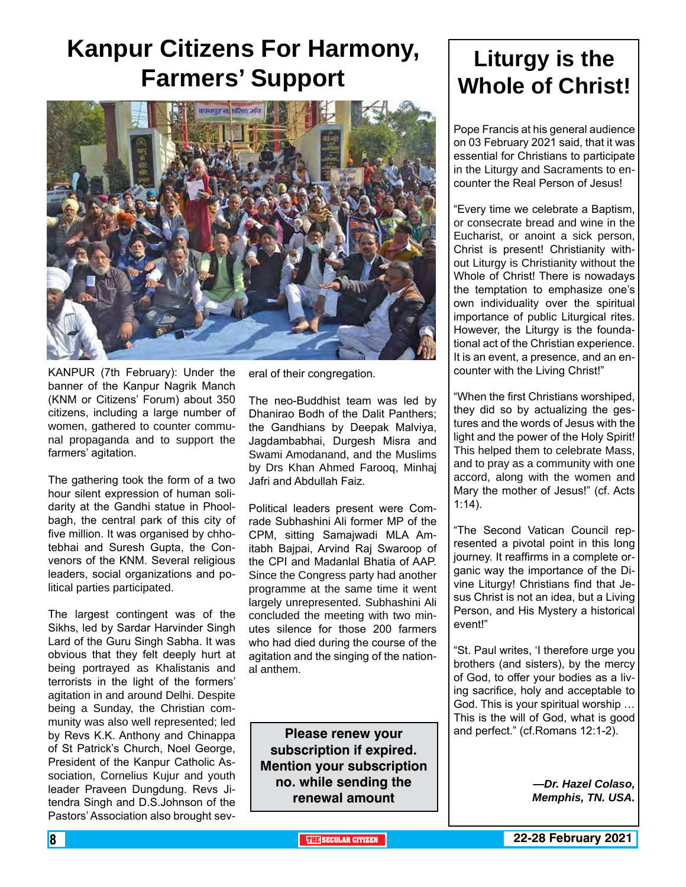## **Kanpur Citizens For Harmony, Farmers' Support Liturgy is the**



KANPUR (7th February): Under the banner of the Kanpur Nagrik Manch (KNM or Citizens' Forum) about 350 citizens, including a large number of women, gathered to counter communal propaganda and to support the farmers' agitation.

The gathering took the form of a two hour silent expression of human solidarity at the Gandhi statue in Phoolbagh, the central park of this city of five million. It was organised by chhotebhai and Suresh Gupta, the Convenors of the KNM. Several religious leaders, social organizations and political parties participated.

The largest contingent was of the Sikhs, led by Sardar Harvinder Singh Lard of the Guru Singh Sabha. It was obvious that they felt deeply hurt at being portrayed as Khalistanis and terrorists in the light of the formers' agitation in and around Delhi. Despite being a Sunday, the Christian community was also well represented; led by Revs K.K. Anthony and Chinappa of St Patrick's Church, Noel George, President of the Kanpur Catholic Association, Cornelius Kujur and youth leader Praveen Dungdung. Revs Jitendra Singh and D.S.Johnson of the Pastors' Association also brought several of their congregation.

The neo-Buddhist team was led by Dhanirao Bodh of the Dalit Panthers; the Gandhians by Deepak Malviya, Jagdambabhai, Durgesh Misra and Swami Amodanand, and the Muslims by Drs Khan Ahmed Farooq, Minhaj Jafri and Abdullah Faiz.

Political leaders present were Comrade Subhashini Ali former MP of the CPM, sitting Samajwadi MLA Amitabh Bajpai, Arvind Raj Swaroop of the CPI and Madanlal Bhatia of AAP. Since the Congress party had another programme at the same time it went largely unrepresented. Subhashini Ali concluded the meeting with two minutes silence for those 200 farmers who had died during the course of the agitation and the singing of the national anthem.

**Please renew your subscription if expired. Mention your subscription no. while sending the renewal amount**

# **Whole of Christ!**

Pope Francis at his general audience on 03 February 2021 said, that it was essential for Christians to participate in the Liturgy and Sacraments to encounter the Real Person of Jesus!

"Every time we celebrate a Baptism, or consecrate bread and wine in the Eucharist, or anoint a sick person, Christ is present! Christianity without Liturgy is Christianity without the Whole of Christ! There is nowadays the temptation to emphasize one's own individuality over the spiritual importance of public Liturgical rites. However, the Liturgy is the foundational act of the Christian experience. It is an event, a presence, and an encounter with the Living Christ!"

"When the first Christians worshiped, they did so by actualizing the gestures and the words of Jesus with the light and the power of the Holy Spirit! This helped them to celebrate Mass, and to pray as a community with one accord, along with the women and Mary the mother of Jesus!" (cf. Acts 1:14).

"The Second Vatican Council represented a pivotal point in this long journey. It reaffirms in a complete organic way the importance of the Divine Liturgy! Christians find that Jesus Christ is not an idea, but a Living Person, and His Mystery a historical event!"

"St. Paul writes, 'I therefore urge you brothers (and sisters), by the mercy of God, to offer your bodies as a living sacrifice, holy and acceptable to God. This is your spiritual worship … This is the will of God, what is good and perfect." (cf.Romans 12:1-2).

> *—Dr. Hazel Colaso, Memphis, TN. USA.*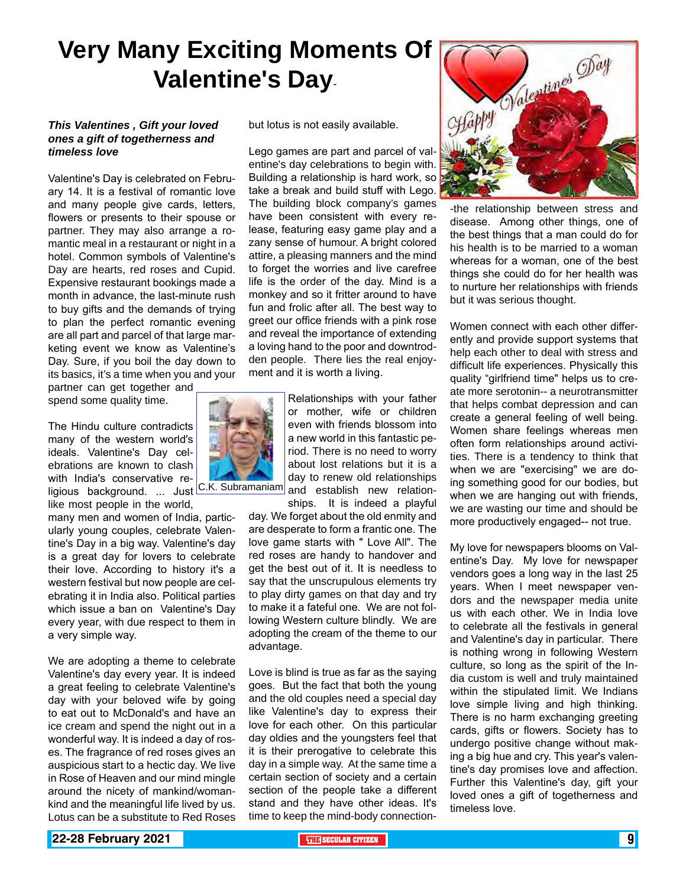## **Very Many Exciting Moments Of Valentine's Day**-

#### *This Valentines , Gift your loved ones a gift of togetherness and timeless love*

Valentine's Day is celebrated on February 14. It is a festival of romantic love and many people give cards, letters, flowers or presents to their spouse or partner. They may also arrange a romantic meal in a restaurant or night in a hotel. Common symbols of Valentine's Day are hearts, red roses and Cupid. Expensive restaurant bookings made a month in advance, the last-minute rush to buy gifts and the demands of trying to plan the perfect romantic evening are all part and parcel of that large marketing event we know as Valentine's Day. Sure, if you boil the day down to its basics, it's a time when you and your

partner can get together and spend some quality time.

The Hindu culture contradicts many of the western world's ideals. Valentine's Day celebrations are known to clash with India's conservative religious background. ... Just<sup>IC.K.</sup>Subramaniam

like most people in the world, many men and women of India, particularly young couples, celebrate Valentine's Day in a big way. Valentine's day is a great day for lovers to celebrate their love. According to history it's a western festival but now people are celebrating it in India also. Political parties which issue a ban on Valentine's Day every year, with due respect to them in a very simple way.

We are adopting a theme to celebrate Valentine's day every year. It is indeed a great feeling to celebrate Valentine's day with your beloved wife by going to eat out to McDonald's and have an ice cream and spend the night out in a wonderful way. It is indeed a day of roses. The fragrance of red roses gives an auspicious start to a hectic day. We live in Rose of Heaven and our mind mingle around the nicety of mankind/womankind and the meaningful life lived by us. Lotus can be a substitute to Red Roses

but lotus is not easily available.

Lego games are part and parcel of valentine's day celebrations to begin with. Building a relationship is hard work, so take a break and build stuff with Lego. The building block company's games have been consistent with every release, featuring easy game play and a zany sense of humour. A bright colored attire, a pleasing manners and the mind to forget the worries and live carefree life is the order of the day. Mind is a monkey and so it fritter around to have fun and frolic after all. The best way to greet our office friends with a pink rose and reveal the importance of extending a loving hand to the poor and downtrodden people. There lies the real enjoyment and it is worth a living.



Relationships with your father or mother, wife or children even with friends blossom into a new world in this fantastic period. There is no need to worry about lost relations but it is a day to renew old relationships and establish new relation-

ships. It is indeed a playful day. We forget about the old enmity and are desperate to form a frantic one. The love game starts with " Love All". The red roses are handy to handover and get the best out of it. It is needless to say that the unscrupulous elements try to play dirty games on that day and try to make it a fateful one. We are not following Western culture blindly. We are adopting the cream of the theme to our advantage.

Love is blind is true as far as the saying goes. But the fact that both the young and the old couples need a special day like Valentine's day to express their love for each other. On this particular day oldies and the youngsters feel that it is their prerogative to celebrate this day in a simple way. At the same time a certain section of society and a certain section of the people take a different stand and they have other ideas. It's time to keep the mind-body connection-



-the relationship between stress and disease. Among other things, one of the best things that a man could do for his health is to be married to a woman whereas for a woman, one of the best things she could do for her health was to nurture her relationships with friends but it was serious thought.

Women connect with each other differently and provide support systems that help each other to deal with stress and difficult life experiences. Physically this quality "girlfriend time" helps us to create more serotonin-- a neurotransmitter that helps combat depression and can create a general feeling of well being. Women share feelings whereas men often form relationships around activities. There is a tendency to think that when we are "exercising" we are doing something good for our bodies, but when we are hanging out with friends, we are wasting our time and should be more productively engaged-- not true.

My love for newspapers blooms on Valentine's Day. My love for newspaper vendors goes a long way in the last 25 years. When I meet newspaper vendors and the newspaper media unite us with each other. We in India love to celebrate all the festivals in general and Valentine's day in particular. There is nothing wrong in following Western culture, so long as the spirit of the India custom is well and truly maintained within the stipulated limit. We Indians love simple living and high thinking. There is no harm exchanging greeting cards, gifts or flowers. Society has to undergo positive change without making a big hue and cry. This year's valentine's day promises love and affection. Further this Valentine's day, gift your loved ones a gift of togetherness and timeless love.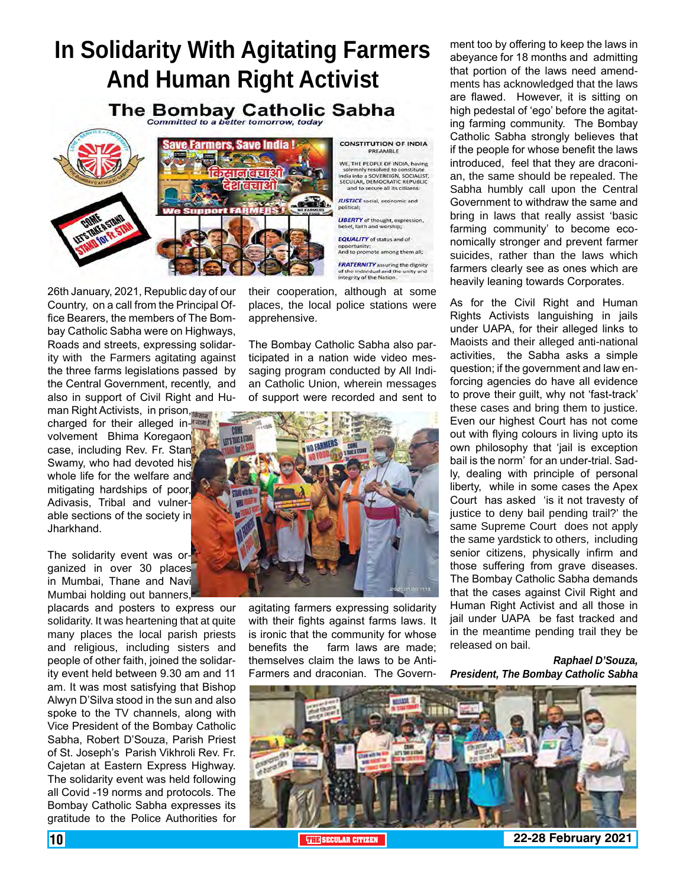# **In Solidarity With Agitating Farmers And Human Right Activist**

The Bombay Catholic Sabha



26th January, 2021, Republic day of our Country, on a call from the Principal Office Bearers, the members of The Bombay Catholic Sabha were on Highways, Roads and streets, expressing solidarity with the Farmers agitating against the three farms legislations passed by the Central Government, recently, and also in support of Civil Right and Hu-

man Right Activists, in prison, charged for their alleged involvement Bhima Koregaon case, including Rev. Fr. Stan Swamy, who had devoted his whole life for the welfare and mitigating hardships of poor, Adivasis, Tribal and vulnerable sections of the society in Jharkhand.

The solidarity event was organized in over 30 places in Mumbai, Thane and Navi Mumbai holding out banners,

placards and posters to express our solidarity. It was heartening that at quite many places the local parish priests and religious, including sisters and people of other faith, joined the solidarity event held between 9.30 am and 11 am. It was most satisfying that Bishop Alwyn D'Silva stood in the sun and also spoke to the TV channels, along with Vice President of the Bombay Catholic Sabha, Robert D'Souza, Parish Priest of St. Joseph's Parish Vikhroli Rev. Fr. Cajetan at Eastern Express Highway. The solidarity event was held following all Covid -19 norms and protocols. The Bombay Catholic Sabha expresses its gratitude to the Police Authorities for

their cooperation, although at some places, the local police stations were apprehensive.

The Bombay Catholic Sabha also participated in a nation wide video messaging program conducted by All Indian Catholic Union, wherein messages of support were recorded and sent to



agitating farmers expressing solidarity with their fights against farms laws. It is ironic that the community for whose benefits the farm laws are made; themselves claim the laws to be Anti-Farmers and draconian. The Govern-

ment too by offering to keep the laws in abeyance for 18 months and admitting that portion of the laws need amendments has acknowledged that the laws are flawed. However, it is sitting on high pedestal of 'ego' before the agitating farming community. The Bombay Catholic Sabha strongly believes that if the people for whose benefit the laws introduced, feel that they are draconian, the same should be repealed. The Sabha humbly call upon the Central Government to withdraw the same and bring in laws that really assist 'basic farming community' to become economically stronger and prevent farmer suicides, rather than the laws which farmers clearly see as ones which are heavily leaning towards Corporates.

As for the Civil Right and Human Rights Activists languishing in jails under UAPA, for their alleged links to Maoists and their alleged anti-national activities, the Sabha asks a simple question; if the government and law enforcing agencies do have all evidence to prove their guilt, why not 'fast-track' these cases and bring them to justice. Even our highest Court has not come out with flying colours in living upto its own philosophy that 'jail is exception bail is the norm' for an under-trial. Sadly, dealing with principle of personal liberty, while in some cases the Apex Court has asked 'is it not travesty of justice to deny bail pending trail?' the same Supreme Court does not apply the same yardstick to others, including senior citizens, physically infirm and those suffering from grave diseases. The Bombay Catholic Sabha demands that the cases against Civil Right and Human Right Activist and all those in jail under UAPA be fast tracked and in the meantime pending trail they be released on bail.

*Raphael D'Souza, President, The Bombay Catholic Sabha*



10 **THE SECULAR CITIZEN 22-28 February 2021**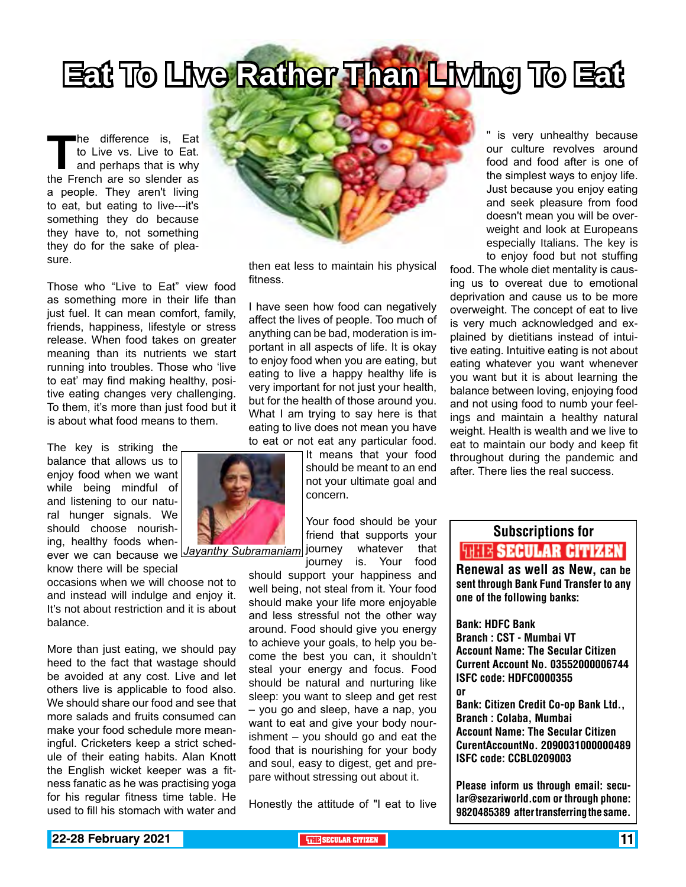# **Eat To Live Rather Than Living To Eat**

The difference is, Eat to Live vs. Live to Eat.<br>
and perhaps that is why the French are so slender as to Live vs. Live to Eat. and perhaps that is why a people. They aren't living to eat, but eating to live---it's something they do because they have to, not something they do for the sake of pleasure.

Those who "Live to Eat" view food as something more in their life than just fuel. It can mean comfort, family, friends, happiness, lifestyle or stress release. When food takes on greater meaning than its nutrients we start running into troubles. Those who 'live to eat' may find making healthy, positive eating changes very challenging. To them, it's more than just food but it is about what food means to them.

The key is striking the balance that allows us to enjoy food when we want while being mindful of and listening to our natural hunger signals. We should choose nourishing, healthy foods whenever we can because we *Jayanthy Subramaniam*

know there will be special occasions when we will choose not to and instead will indulge and enjoy it. It's not about restriction and it is about balance.

More than just eating, we should pay heed to the fact that wastage should be avoided at any cost. Live and let others live is applicable to food also. We should share our food and see that more salads and fruits consumed can make your food schedule more meaningful. Cricketers keep a strict schedule of their eating habits. Alan Knott the English wicket keeper was a fitness fanatic as he was practising yoga for his regular fitness time table. He used to fill his stomach with water and



then eat less to maintain his physical fitness.

I have seen how food can negatively affect the lives of people. Too much of anything can be bad, moderation is important in all aspects of life. It is okay to enjoy food when you are eating, but eating to live a happy healthy life is very important for not just your health, but for the health of those around you. What I am trying to say here is that eating to live does not mean you have to eat or not eat any particular food.

> It means that your food should be meant to an end not your ultimate goal and concern.

Your food should be your friend that supports your whatever that

journey is. Your food should support your happiness and well being, not steal from it. Your food should make your life more enjoyable and less stressful not the other way around. Food should give you energy to achieve your goals, to help you become the best you can, it shouldn't steal your energy and focus. Food should be natural and nurturing like sleep: you want to sleep and get rest – you go and sleep, have a nap, you want to eat and give your body nourishment – you should go and eat the food that is nourishing for your body and soul, easy to digest, get and prepare without stressing out about it.

Honestly the attitude of "I eat to live

is very unhealthy because our culture revolves around food and food after is one of the simplest ways to enjoy life. Just because you enjoy eating and seek pleasure from food doesn't mean you will be overweight and look at Europeans especially Italians. The key is to enjoy food but not stuffing

food. The whole diet mentality is causing us to overeat due to emotional deprivation and cause us to be more overweight. The concept of eat to live is very much acknowledged and explained by dietitians instead of intuitive eating. Intuitive eating is not about eating whatever you want whenever you want but it is about learning the balance between loving, enjoying food and not using food to numb your feelings and maintain a healthy natural weight. Health is wealth and we live to eat to maintain our body and keep fit throughout during the pandemic and after. There lies the real success.

## Subscriptions for **THIE SECULAR CITIZEN**<br>Renewal as well as New, can be

sent through Bank Fund Transfer to any one of the following banks:

Bank: HDFC Bank Branch : CST - Mumbai VT Account Name: The Secular Citizen Current Account No. 03552000006744 ISFC code: HDFC0000355 or

Bank: Citizen Credit Co-op Bank Ltd., Branch : Colaba, Mumbai Account Name: The Secular Citizen CurentAccountNo. 2090031000000489 ISFC code: CCBL0209003

Please inform us through email: secular@sezariworld.com or through phone: 9820485389 after transferring the same.

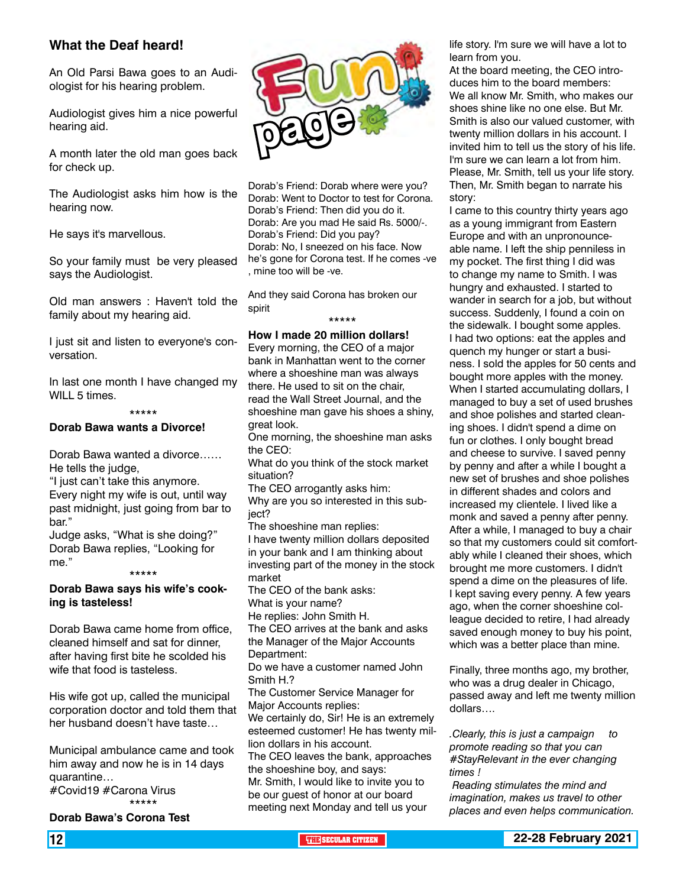#### **What the Deaf heard!**

An Old Parsi Bawa goes to an Audiologist for his hearing problem.

Audiologist gives him a nice powerful hearing aid.

A month later the old man goes back for check up.

The Audiologist asks him how is the hearing now.

He says it's marvellous.

So your family must be very pleased says the Audiologist.

Old man answers : Haven't told the family about my hearing aid.

I just sit and listen to everyone's conversation.

In last one month I have changed my WILL 5 times.

#### \*\*\*\*\*

#### **Dorab Bawa wants a Divorce!**

Dorab Bawa wanted a divorce…… He tells the judge,

"I just can't take this anymore. Every night my wife is out, until way past midnight, just going from bar to

bar." Judge asks, "What is she doing?" Dorab Bawa replies, "Looking for me."

\*\*\*\*\*

#### **Dorab Bawa says his wife's cooking is tasteless!**

Dorab Bawa came home from office, cleaned himself and sat for dinner, after having first bite he scolded his wife that food is tasteless.

His wife got up, called the municipal corporation doctor and told them that her husband doesn't have taste…

Municipal ambulance came and took him away and now he is in 14 days quarantine…

#Covid19 #Carona Virus \*\*\*\*\*

**Dorab Bawa's Corona Test**



Dorab's Friend: Dorab where were you? Dorab: Went to Doctor to test for Corona. Dorab's Friend: Then did you do it. Dorab: Are you mad He said Rs. 5000/-. Dorab's Friend: Did you pay? Dorab: No, I sneezed on his face. Now he's gone for Corona test. If he comes -ve , mine too will be -ve.

And they said Corona has broken our spirit \*\*\*\*\*

#### **How I made 20 million dollars!**

Every morning, the CEO of a major bank in Manhattan went to the corner where a shoeshine man was always there. He used to sit on the chair, read the Wall Street Journal, and the shoeshine man gave his shoes a shiny, great look.

One morning, the shoeshine man asks the CEO:

What do you think of the stock market situation?

The CEO arrogantly asks him: Why are you so interested in this subiect?

The shoeshine man replies:

I have twenty million dollars deposited in your bank and I am thinking about investing part of the money in the stock market

The CEO of the bank asks:

What is your name?

He replies: John Smith H.

The CEO arrives at the bank and asks the Manager of the Major Accounts Department:

Do we have a customer named John Smith H.?

The Customer Service Manager for Major Accounts replies: We certainly do, Sir! He is an extremely

esteemed customer! He has twenty million dollars in his account. The CEO leaves the bank, approaches

the shoeshine boy, and says:

Mr. Smith, I would like to invite you to be our guest of honor at our board meeting next Monday and tell us your life story. I'm sure we will have a lot to learn from you.

At the board meeting, the CEO introduces him to the board members: We all know Mr. Smith, who makes our shoes shine like no one else. But Mr. Smith is also our valued customer, with twenty million dollars in his account. I invited him to tell us the story of his life. I'm sure we can learn a lot from him. Please, Mr. Smith, tell us your life story. Then, Mr. Smith began to narrate his story:

I came to this country thirty years ago as a young immigrant from Eastern Europe and with an unpronounceable name. I left the ship penniless in my pocket. The first thing I did was to change my name to Smith. I was hungry and exhausted. I started to wander in search for a job, but without success. Suddenly, I found a coin on the sidewalk. I bought some apples. I had two options: eat the apples and quench my hunger or start a business. I sold the apples for 50 cents and bought more apples with the money. When I started accumulating dollars, I managed to buy a set of used brushes and shoe polishes and started cleaning shoes. I didn't spend a dime on fun or clothes. I only bought bread and cheese to survive. I saved penny by penny and after a while I bought a new set of brushes and shoe polishes in different shades and colors and increased my clientele. I lived like a monk and saved a penny after penny. After a while, I managed to buy a chair so that my customers could sit comfortably while I cleaned their shoes, which brought me more customers. I didn't spend a dime on the pleasures of life. I kept saving every penny. A few years ago, when the corner shoeshine colleague decided to retire, I had already saved enough money to buy his point, which was a better place than mine.

Finally, three months ago, my brother, who was a drug dealer in Chicago, passed away and left me twenty million dollars….

*.Clearly, this is just a campaign to promote reading so that you can #StayRelevant in the ever changing times !*

 *Reading stimulates the mind and imagination, makes us travel to other places and even helps communication.*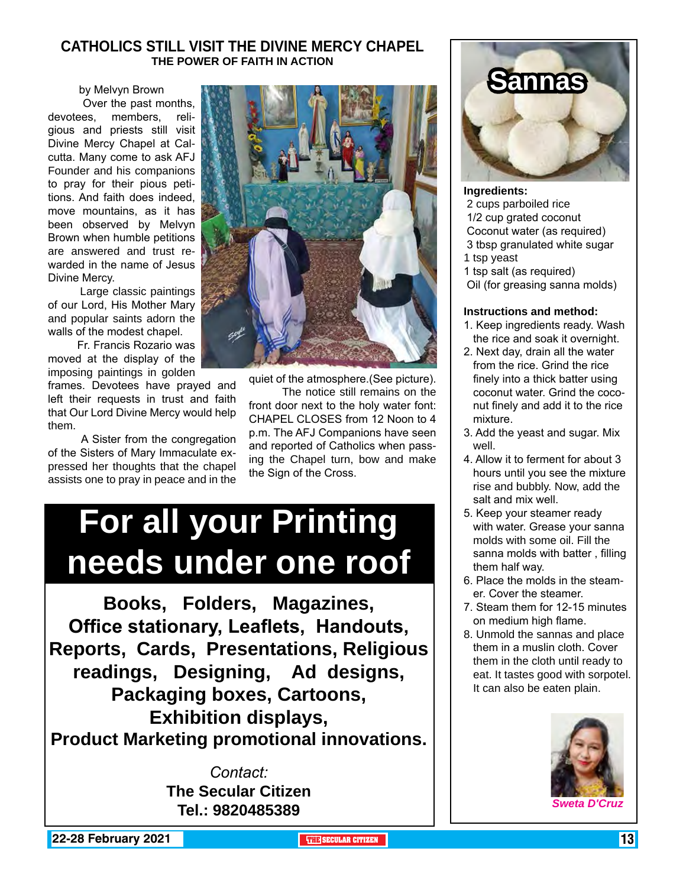#### **CATHOLICS STILL VISIT THE DIVINE MERCY CHAPEL THE POWER OF FAITH IN ACTION**

by Melvyn Brown

 Over the past months, devotees, members, religious and priests still visit Divine Mercy Chapel at Calcutta. Many come to ask AFJ Founder and his companions to pray for their pious petitions. And faith does indeed, move mountains, as it has been observed by Melvyn Brown when humble petitions are answered and trust rewarded in the name of Jesus Divine Mercy.

 Large classic paintings of our Lord, His Mother Mary and popular saints adorn the walls of the modest chapel.

 Fr. Francis Rozario was moved at the display of the imposing paintings in golden

frames. Devotees have prayed and left their requests in trust and faith that Our Lord Divine Mercy would help them.

 A Sister from the congregation of the Sisters of Mary Immaculate expressed her thoughts that the chapel assists one to pray in peace and in the



quiet of the atmosphere.(See picture).

 The notice still remains on the front door next to the holy water font: CHAPEL CLOSES from 12 Noon to 4 p.m. The AFJ Companions have seen and reported of Catholics when passing the Chapel turn, bow and make the Sign of the Cross.

# **For all your Printing needs under one roof**

**Books, Folders, Magazines, Office stationary, Leaflets, Handouts, Reports, Cards, Presentations, Religious readings, Designing, Ad designs, Packaging boxes, Cartoons, Exhibition displays, Product Marketing promotional innovations.**

> *Contact:* **The Secular Citizen Tel.: 9820485389**



**Ingredients:** 2 cups parboiled rice 1/2 cup grated coconut Coconut water (as required) 3 tbsp granulated white sugar 1 tsp yeast

1 tsp salt (as required) Oil (for greasing sanna molds)

#### **Instructions and method:**

- 1. Keep ingredients ready. Wash the rice and soak it overnight.
- 2. Next day, drain all the water from the rice. Grind the rice finely into a thick batter using coconut water. Grind the coconut finely and add it to the rice mixture.
- 3. Add the yeast and sugar. Mix well.
- 4. Allow it to ferment for about 3 hours until you see the mixture rise and bubbly. Now, add the salt and mix well.
- 5. Keep your steamer ready with water. Grease your sanna molds with some oil. Fill the sanna molds with batter , filling them half way.
- 6. Place the molds in the steamer. Cover the steamer.
- 7. Steam them for 12-15 minutes on medium high flame.
- 8. Unmold the sannas and place them in a muslin cloth. Cover them in the cloth until ready to eat. It tastes good with sorpotel. It can also be eaten plain.



*Sweta D'Cruz*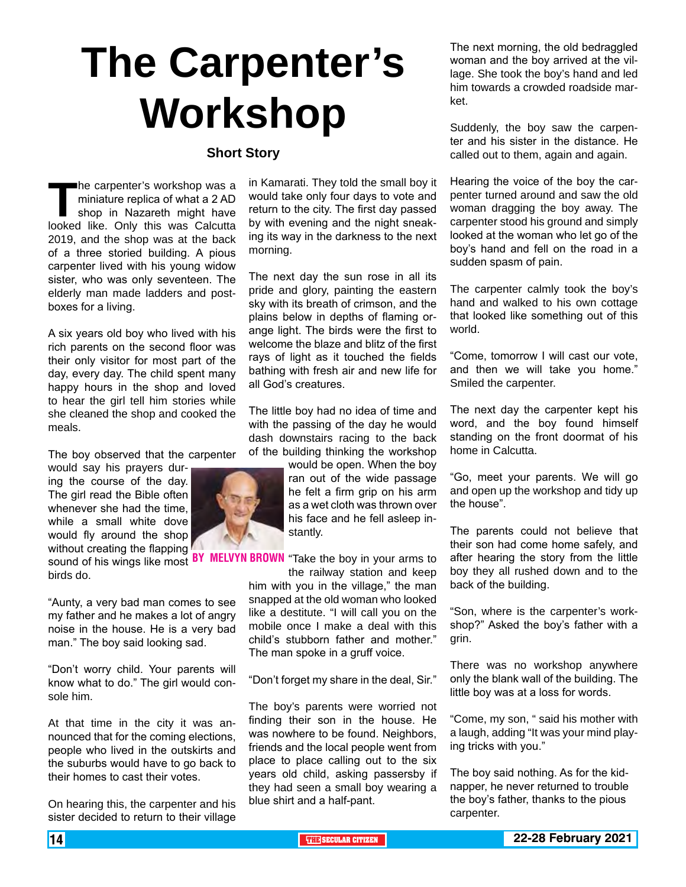# **The Carpenter's Workshop**

#### **Short Story**

The carpenter's workshop was a<br>miniature replica of what a 2 AD<br>shop in Nazareth might have<br>looked like. Only this was Calcutta miniature replica of what a 2 AD shop in Nazareth might have looked like. Only this was Calcutta 2019, and the shop was at the back of a three storied building. A pious carpenter lived with his young widow sister, who was only seventeen. The elderly man made ladders and postboxes for a living.

A six years old boy who lived with his rich parents on the second floor was their only visitor for most part of the day, every day. The child spent many happy hours in the shop and loved to hear the girl tell him stories while she cleaned the shop and cooked the meals.

The boy observed that the carpenter

would say his prayers during the course of the day. The girl read the Bible often whenever she had the time, while a small white dove would fly around the shop without creating the flapping

sound of his wings like most BY birds do.

"Aunty, a very bad man comes to see my father and he makes a lot of angry noise in the house. He is a very bad man." The boy said looking sad.

"Don't worry child. Your parents will know what to do." The girl would console him.

At that time in the city it was announced that for the coming elections, people who lived in the outskirts and the suburbs would have to go back to their homes to cast their votes.

On hearing this, the carpenter and his sister decided to return to their village in Kamarati. They told the small boy it would take only four days to vote and return to the city. The first day passed by with evening and the night sneaking its way in the darkness to the next morning.

The next day the sun rose in all its pride and glory, painting the eastern sky with its breath of crimson, and the plains below in depths of flaming orange light. The birds were the first to welcome the blaze and blitz of the first rays of light as it touched the fields bathing with fresh air and new life for all God's creatures.

The little boy had no idea of time and with the passing of the day he would dash downstairs racing to the back of the building thinking the workshop

> would be open. When the boy ran out of the wide passage he felt a firm grip on his arm as a wet cloth was thrown over his face and he fell asleep instantly.

BY MELVYN BROWN "Take the boy in your arms to

the railway station and keep him with you in the village," the man snapped at the old woman who looked like a destitute. "I will call you on the mobile once I make a deal with this child's stubborn father and mother." The man spoke in a gruff voice.

"Don't forget my share in the deal, Sir."

The boy's parents were worried not finding their son in the house. He was nowhere to be found. Neighbors, friends and the local people went from place to place calling out to the six years old child, asking passersby if they had seen a small boy wearing a blue shirt and a half-pant.

The next morning, the old bedraggled woman and the boy arrived at the village. She took the boy's hand and led him towards a crowded roadside market.

Suddenly, the boy saw the carpenter and his sister in the distance. He called out to them, again and again.

Hearing the voice of the boy the carpenter turned around and saw the old woman dragging the boy away. The carpenter stood his ground and simply looked at the woman who let go of the boy's hand and fell on the road in a sudden spasm of pain.

The carpenter calmly took the boy's hand and walked to his own cottage that looked like something out of this world.

"Come, tomorrow I will cast our vote, and then we will take you home." Smiled the carpenter.

The next day the carpenter kept his word, and the boy found himself standing on the front doormat of his home in Calcutta.

"Go, meet your parents. We will go and open up the workshop and tidy up the house".

The parents could not believe that their son had come home safely, and after hearing the story from the little boy they all rushed down and to the back of the building.

"Son, where is the carpenter's workshop?" Asked the boy's father with a grin.

There was no workshop anywhere only the blank wall of the building. The little boy was at a loss for words.

"Come, my son, " said his mother with a laugh, adding "It was your mind playing tricks with you."

The boy said nothing. As for the kidnapper, he never returned to trouble the boy's father, thanks to the pious carpenter.

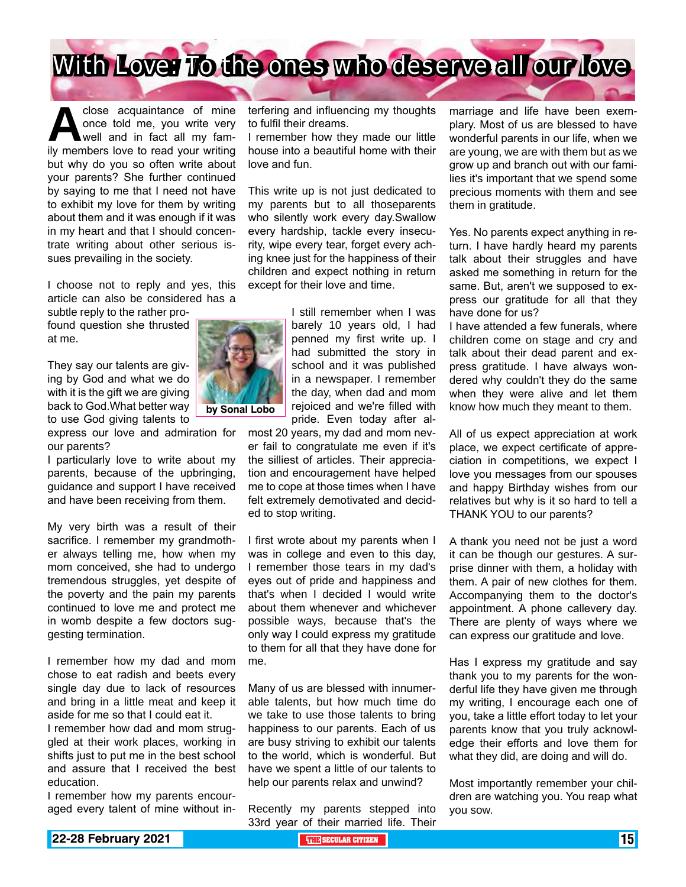

close acquaintance of mine<br>
once told me, you write very<br>
well and in fact all my fam-<br>
ilv members love to read your writing once told me, you write very well and in fact all my family members love to read your writing but why do you so often write about your parents? She further continued by saying to me that I need not have to exhibit my love for them by writing about them and it was enough if it was in my heart and that I should concentrate writing about other serious issues prevailing in the society.

I choose not to reply and yes, this article can also be considered has a

subtle reply to the rather profound question she thrusted at me.

They say our talents are giving by God and what we do with it is the gift we are giving back to God.What better way to use God giving talents to

express our love and admiration for our parents?

I particularly love to write about my parents, because of the upbringing, guidance and support I have received and have been receiving from them.

My very birth was a result of their sacrifice. I remember my grandmother always telling me, how when my mom conceived, she had to undergo tremendous struggles, yet despite of the poverty and the pain my parents continued to love me and protect me in womb despite a few doctors suggesting termination.

I remember how my dad and mom chose to eat radish and beets every single day due to lack of resources and bring in a little meat and keep it aside for me so that I could eat it.

I remember how dad and mom struggled at their work places, working in shifts just to put me in the best school and assure that I received the best education.

I remember how my parents encouraged every talent of mine without interfering and influencing my thoughts to fulfil their dreams.

I remember how they made our little house into a beautiful home with their love and fun.

This write up is not just dedicated to my parents but to all thoseparents who silently work every day.Swallow every hardship, tackle every insecurity, wipe every tear, forget every aching knee just for the happiness of their children and expect nothing in return except for their love and time.

> I still remember when I was barely 10 years old, I had penned my first write up. I had submitted the story in school and it was published in a newspaper. I remember the day, when dad and mom rejoiced and we're filled with pride. Even today after al-

most 20 years, my dad and mom never fail to congratulate me even if it's the silliest of articles. Their appreciation and encouragement have helped me to cope at those times when I have felt extremely demotivated and decided to stop writing.

I first wrote about my parents when I was in college and even to this day, I remember those tears in my dad's eyes out of pride and happiness and that's when I decided I would write about them whenever and whichever possible ways, because that's the only way I could express my gratitude to them for all that they have done for me.

Many of us are blessed with innumerable talents, but how much time do we take to use those talents to bring happiness to our parents. Each of us are busy striving to exhibit our talents to the world, which is wonderful. But have we spent a little of our talents to help our parents relax and unwind?

Recently my parents stepped into 33rd year of their married life. Their marriage and life have been exemplary. Most of us are blessed to have wonderful parents in our life, when we are young, we are with them but as we grow up and branch out with our families it's important that we spend some precious moments with them and see them in gratitude.

Yes. No parents expect anything in return. I have hardly heard my parents talk about their struggles and have asked me something in return for the same. But, aren't we supposed to express our gratitude for all that they have done for us?

I have attended a few funerals, where children come on stage and cry and talk about their dead parent and express gratitude. I have always wondered why couldn't they do the same when they were alive and let them know how much they meant to them.

All of us expect appreciation at work place, we expect certificate of appreciation in competitions, we expect I love you messages from our spouses and happy Birthday wishes from our relatives but why is it so hard to tell a THANK YOU to our parents?

A thank you need not be just a word it can be though our gestures. A surprise dinner with them, a holiday with them. A pair of new clothes for them. Accompanying them to the doctor's appointment. A phone callevery day. There are plenty of ways where we can express our gratitude and love.

Has I express my gratitude and say thank you to my parents for the wonderful life they have given me through my writing, I encourage each one of you, take a little effort today to let your parents know that you truly acknowledge their efforts and love them for what they did, are doing and will do.

Most importantly remember your children are watching you. You reap what you sow.

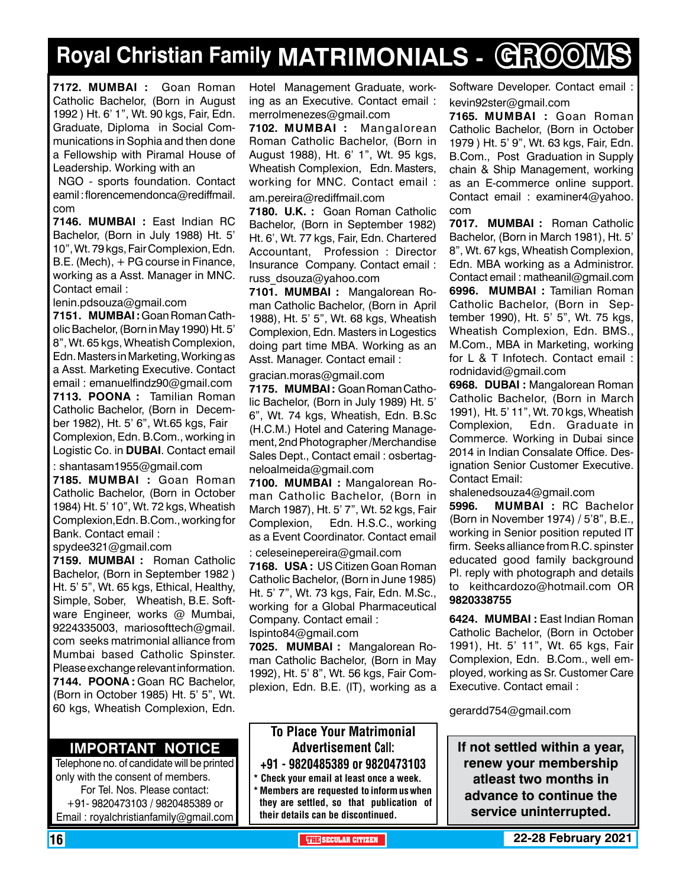# **Royal Christian Family MATRIMONIALS - GROOMS**

**7172. MUMBAI :** Goan Roman Catholic Bachelor, (Born in August 1992 ) Ht. 6' 1", Wt. 90 kgs, Fair, Edn. Graduate, Diploma in Social Communications in Sophia and then done a Fellowship with Piramal House of Leadership. Working with an

 NGO - sports foundation. Contact eamil : florencemendonca@rediffmail. com

**7146. MUMBAI :** East Indian RC Bachelor, (Born in July 1988) Ht. 5' 10", Wt. 79 kgs, Fair Complexion, Edn. B.E. (Mech), + PG course in Finance, working as a Asst. Manager in MNC. Contact email :

lenin.pdsouza@gmail.com

**7151. MUMBAI :** Goan Roman Catholic Bachelor, (Born in May 1990) Ht. 5' 8", Wt. 65 kgs, Wheatish Complexion, Edn. Masters in Marketing, Working as a Asst. Marketing Executive. Contact email : emanuelfindz90@gmail.com **7113. POONA :** Tamilian Roman Catholic Bachelor, (Born in December 1982), Ht. 5' 6", Wt.65 kgs, Fair Complexion, Edn. B.Com., working in Logistic Co. in **DUBAI**. Contact email

: shantasam1955@gmail.com

**7185. MUMBAI :** Goan Roman Catholic Bachelor, (Born in October 1984) Ht. 5' 10", Wt. 72 kgs, Wheatish Complexion,Edn. B.Com., working for Bank. Contact email :

spydee321@gmail.com

**7159. MUMBAI :** Roman Catholic Bachelor, (Born in September 1982 ) Ht. 5' 5", Wt. 65 kgs, Ethical, Healthy, Simple, Sober, Wheatish, B.E. Software Engineer, works @ Mumbai, 9224335003, mariosofttech@gmail. com seeks matrimonial alliance from Mumbai based Catholic Spinster. Please exchange relevant information. **7144. POONA :** Goan RC Bachelor, (Born in October 1985) Ht. 5' 5", Wt. 60 kgs, Wheatish Complexion, Edn.

### **Important Notice**

Telephone no. of candidate will be printed only with the consent of members. For Tel. Nos. Please contact: +91- 9820473103 / 9820485389 or Email : royalchristianfamily@gmail.com

Hotel Management Graduate, working as an Executive. Contact email : merrolmenezes@gmail.com

**7102. MUMBAI :** Mangalorean Roman Catholic Bachelor, (Born in August 1988), Ht. 6' 1", Wt. 95 kgs, Wheatish Complexion, Edn. Masters, working for MNC. Contact email : am.pereira@rediffmail.com

**7180. U.K. :** Goan Roman Catholic Bachelor, (Born in September 1982) Ht. 6', Wt. 77 kgs, Fair, Edn. Chartered Accountant, Profession : Director Insurance Company. Contact email : russ\_dsouza@yahoo.com

**7101. MUMBAI :** Mangalorean Roman Catholic Bachelor, (Born in April 1988), Ht. 5' 5", Wt. 68 kgs, Wheatish Complexion, Edn. Masters in Logestics doing part time MBA. Working as an Asst. Manager. Contact email :

#### gracian.moras@gmail.com

**7175. MUMBAI :** Goan Roman Catholic Bachelor, (Born in July 1989) Ht. 5' 6", Wt. 74 kgs, Wheatish, Edn. B.Sc (H.C.M.) Hotel and Catering Management, 2nd Photographer /Merchandise Sales Dept., Contact email : osbertagneloalmeida@gmail.com

**7100. MUMBAI :** Mangalorean Roman Catholic Bachelor, (Born in March 1987), Ht. 5' 7", Wt. 52 kgs, Fair Complexion, Edn. H.S.C., working as a Event Coordinator. Contact email

: celeseinepereira@gmail.com **7168. USA :** US Citizen Goan Roman Catholic Bachelor, (Born in June 1985) Ht. 5' 7", Wt. 73 kgs, Fair, Edn. M.Sc., working for a Global Pharmaceutical Company. Contact email : Ispinto84@gmail.com

**7025. MUMBAI :** Mangalorean Roman Catholic Bachelor, (Born in May 1992), Ht. 5' 8", Wt. 56 kgs, Fair Complexion, Edn. B.E. (IT), working as a

### To Place Your Matrimonial Advertisement Call: +91 - 9820485389 or 9820473103

\* Check your email at least once a week. \* Members are requested to inform us when they are settled, so that publication of their details can be discontinued.

Software Developer. Contact email : kevin92ster@gmail.com

**7165. MUMBAI :** Goan Roman Catholic Bachelor, (Born in October 1979 ) Ht. 5' 9", Wt. 63 kgs, Fair, Edn. B.Com., Post Graduation in Supply chain & Ship Management, working as an E-commerce online support. Contact email : examiner4@yahoo. com

**7017. MUMBAI :** Roman Catholic Bachelor, (Born in March 1981), Ht. 5' 8", Wt. 67 kgs, Wheatish Complexion, Edn. MBA working as a Administror. Contact email : matheanil@gmail.com **6996. MUMBAI :** Tamilian Roman Catholic Bachelor, (Born in September 1990), Ht. 5' 5", Wt. 75 kgs, Wheatish Complexion, Edn. BMS.,

M.Com., MBA in Marketing, working for L & T Infotech. Contact email : rodnidavid@gmail.com

**6968. DUBAI :** Mangalorean Roman Catholic Bachelor, (Born in March 1991), Ht. 5' 11", Wt. 70 kgs, Wheatish Complexion, Edn. Graduate in Commerce. Working in Dubai since 2014 in Indian Consalate Office. Designation Senior Customer Executive. Contact Email:

shalenedsouza4@gmail.com

**5996. MUMBAI :** RC Bachelor (Born in November 1974) / 5'8", B.E., working in Senior position reputed IT firm. Seeks alliance from R.C. spinster educated good family background Pl. reply with photograph and details to keithcardozo@hotmail.com OR 9820338755

**6424. MUMBAI :** East Indian Roman Catholic Bachelor, (Born in October 1991), Ht. 5' 11", Wt. 65 kgs, Fair Complexion, Edn. B.Com., well employed, working as Sr. Customer Care Executive. Contact email :

gerardd754@gmail.com

**If not settled within a year, renew your membership atleast two months in advance to continue the service uninterrupted.**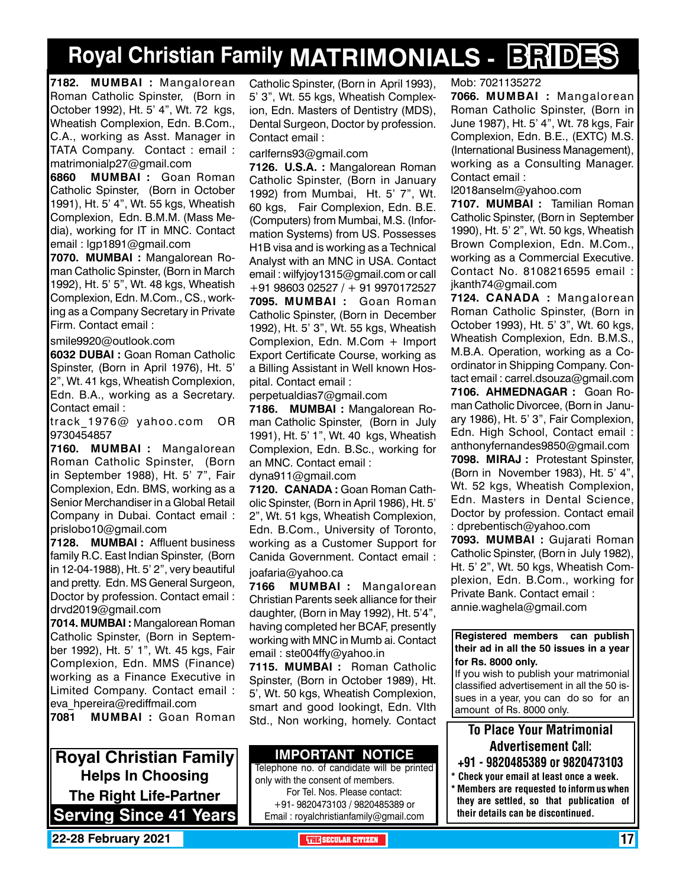# **Royal Christian Family MATRIMONIALS - BRIDES**

**7182. MUMBAI :** Mangalorean Roman Catholic Spinster, (Born in October 1992), Ht. 5' 4", Wt. 72 kgs, Wheatish Complexion, Edn. B.Com., C.A., working as Asst. Manager in TATA Company. Contact : email : matrimonialp27@gmail.com

**6860 MUMBAI :** Goan Roman Catholic Spinster, (Born in October 1991), Ht. 5' 4", Wt. 55 kgs, Wheatish Complexion, Edn. B.M.M. (Mass Media), working for IT in MNC. Contact email : lgp1891@gmail.com

**7070. MUMBAI :** Mangalorean Roman Catholic Spinster, (Born in March 1992), Ht. 5' 5", Wt. 48 kgs, Wheatish Complexion, Edn. M.Com., CS., working as a Company Secretary in Private Firm. Contact email :

smile9920@outlook.com

**6032 DUBAI :** Goan Roman Catholic Spinster, (Born in April 1976), Ht. 5' 2", Wt. 41 kgs, Wheatish Complexion, Edn. B.A., working as a Secretary. Contact email :

track 1976@ yahoo.com OR 9730454857

**7160. MUMBAI :** Mangalorean Roman Catholic Spinster, (Born in September 1988), Ht. 5' 7", Fair Complexion, Edn. BMS, working as a Senior Merchandiser in a Global Retail Company in Dubai. Contact email : prislobo10@gmail.com

**7128. MUMBAI :** Affluent business family R.C. East Indian Spinster, (Born in 12-04-1988), Ht. 5' 2", very beautiful and pretty. Edn. MS General Surgeon, Doctor by profession. Contact email : drvd2019@gmail.com

**7014. MUMBAI :** Mangalorean Roman Catholic Spinster, (Born in September 1992), Ht. 5' 1", Wt. 45 kgs, Fair Complexion, Edn. MMS (Finance) working as a Finance Executive in Limited Company. Contact email : eva\_hpereira@rediffmail.com

**7081 MUMBAI :** Goan Roman

**Royal Christian Family Helps In Choosing The Right Life-Partner Serving Since 41 Years** Catholic Spinster, (Born in April 1993), 5' 3", Wt. 55 kgs, Wheatish Complexion, Edn. Masters of Dentistry (MDS), Dental Surgeon, Doctor by profession. Contact email :

carlferns93@gmail.com

**7126. U.S.A. :** Mangalorean Roman Catholic Spinster, (Born in January 1992) from Mumbai, Ht. 5' 7", Wt. 60 kgs, Fair Complexion, Edn. B.E. (Computers) from Mumbai, M.S. (Information Systems) from US. Possesses H1B visa and is working as a Technical Analyst with an MNC in USA. Contact email : wilfyjoy1315@gmail.com or call +91 98603 02527 / + 91 9970172527 **7095. MUMBAI :** Goan Roman Catholic Spinster, (Born in December 1992), Ht. 5' 3", Wt. 55 kgs, Wheatish Complexion, Edn. M.Com + Import Export Certificate Course, working as a Billing Assistant in Well known Hospital. Contact email :

perpetualdias7@gmail.com

**7186. MUMBAI :** Mangalorean Roman Catholic Spinster, (Born in July 1991), Ht. 5' 1", Wt. 40 kgs, Wheatish Complexion, Edn. B.Sc., working for an MNC. Contact email :

dyna911@gmail.com

**7120. CANADA :** Goan Roman Catholic Spinster, (Born in April 1986), Ht. 5' 2", Wt. 51 kgs, Wheatish Complexion, Edn. B.Com., University of Toronto, working as a Customer Support for Canida Government. Contact email :

joafaria@yahoo.ca

**7166 MUMBAI :** Mangalorean Christian Parents seek alliance for their daughter, (Born in May 1992), Ht. 5'4", having completed her BCAF, presently working with MNC in Mumb ai. Contact email : ste004ffy@yahoo.in

**7115. MUMBAI :** Roman Catholic Spinster, (Born in October 1989), Ht. 5', Wt. 50 kgs, Wheatish Complexion, smart and good lookingt, Edn. VIth Std., Non working, homely. Contact

#### **Important Notice**

Telephone no. of candidate will be printed only with the consent of members. For Tel. Nos. Please contact: +91- 9820473103 / 9820485389 or Email : royalchristianfamily@gmail.com

Mob: 7021135272

**7066. MUMBAI :** Mangalorean Roman Catholic Spinster, (Born in June 1987), Ht. 5' 4", Wt. 78 kgs, Fair Complexion, Edn. B.E., (EXTC) M.S. (International Business Management), working as a Consulting Manager. Contact email :

l2018anselm@yahoo.com

**7107. MUMBAI :** Tamilian Roman Catholic Spinster, (Born in September 1990), Ht. 5' 2", Wt. 50 kgs, Wheatish Brown Complexion, Edn. M.Com., working as a Commercial Executive. Contact No. 8108216595 email : jkanth74@gmail.com

**7124. CANADA :** Mangalorean Roman Catholic Spinster, (Born in October 1993), Ht. 5' 3", Wt. 60 kgs, Wheatish Complexion, Edn. B.M.S., M.B.A. Operation, working as a Coordinator in Shipping Company. Contact email : carrel.dsouza@gmail.com **7106. Ahmednagar :** Goan Roman Catholic Divorcee, (Born in January 1986), Ht. 5' 3", Fair Complexion, Edn. High School, Contact email : anthonyfernandes9850@gmail.com **7098. MIRAJ :** Protestant Spinster, (Born in November 1983), Ht. 5' 4", Wt. 52 kgs, Wheatish Complexion, Edn. Masters in Dental Science, Doctor by profession. Contact email : dprebentisch@yahoo.com

**7093. MUMBAI :** Gujarati Roman Catholic Spinster, (Born in July 1982), Ht. 5' 2", Wt. 50 kgs, Wheatish Complexion, Edn. B.Com., working for Private Bank. Contact email : annie.waghela@gmail.com

**Registered members can publish their ad in all the 50 issues in a year for Rs. 8000 only.**

If you wish to publish your matrimonial classified advertisement in all the 50 issues in a year, you can do so for an amount of Rs. 8000 only.

### To Place Your Matrimonial Advertisement Call:

- +91 9820485389 or 9820473103
- \* Check your email at least once a week. \* Members are requested to inform us when they are settled, so that publication of their details can be discontinued.

**22-28 February 2021 The Security of the SECULAR CITIZEN THE** SECULAR CITIZEN **17**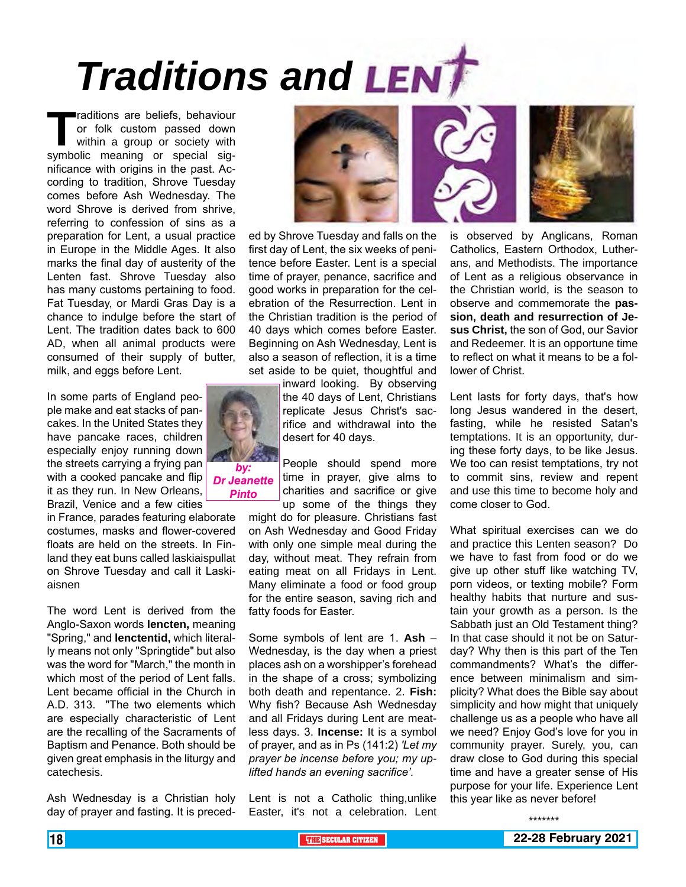# *Traditions and*

**Traditions are beliefs, behaviour**<br>or folk custom passed down<br>within a group or society with<br>symbolic meaning or special sigor folk custom passed down within a group or society with symbolic meaning or special significance with origins in the past. According to tradition, Shrove Tuesday comes before Ash Wednesday. The word Shrove is derived from shrive, referring to confession of sins as a preparation for Lent, a usual practice in Europe in the Middle Ages. It also marks the final day of austerity of the Lenten fast. Shrove Tuesday also has many customs pertaining to food. Fat Tuesday, or Mardi Gras Day is a chance to indulge before the start of Lent. The tradition dates back to 600 AD, when all animal products were consumed of their supply of butter, milk, and eggs before Lent.

In some parts of England people make and eat stacks of pancakes. In the United States they have pancake races, children especially enjoy running down the streets carrying a frying pan with a cooked pancake and flip it as they run. In New Orleans, Brazil, Venice and a few cities

in France, parades featuring elaborate costumes, masks and flower-covered floats are held on the streets. In Finland they eat buns called laskiaispullat on Shrove Tuesday and call it Laskiaisnen

The word Lent is derived from the Anglo-Saxon words **lencten,** meaning "Spring," and **lenctentid,** which literally means not only "Springtide" but also was the word for "March," the month in which most of the period of Lent falls. Lent became official in the Church in A.D. 313. "The two elements which are especially characteristic of Lent are the recalling of the Sacraments of Baptism and Penance. Both should be given great emphasis in the liturgy and catechesis.

Ash Wednesday is a Christian holy day of prayer and fasting. It is preced-



ed by Shrove Tuesday and falls on the first day of Lent, the six weeks of penitence before Easter. Lent is a special time of prayer, penance, sacrifice and good works in preparation for the celebration of the Resurrection. Lent in the Christian tradition is the period of 40 days which comes before Easter. Beginning on Ash Wednesday, Lent is also a season of reflection, it is a time set aside to be quiet, thoughtful and

inward looking. By observing the 40 days of Lent, Christians replicate Jesus Christ's sacrifice and withdrawal into the desert for 40 days.

People should spend more time in prayer, give alms to charities and sacrifice or give up some of the things they

might do for pleasure. Christians fast on Ash Wednesday and Good Friday with only one simple meal during the day, without meat. They refrain from eating meat on all Fridays in Lent. Many eliminate a food or food group for the entire season, saving rich and fatty foods for Easter.

Some symbols of lent are 1. **Ash** – Wednesday, is the day when a priest places ash on a worshipper's forehead in the shape of a cross; symbolizing both death and repentance. 2. **Fish:** Why fish? Because Ash Wednesday and all Fridays during Lent are meatless days. 3. **Incense:** It is a symbol of prayer, and as in Ps (141:2) *'Let my prayer be incense before you; my uplifted hands an evening sacrifice'.*

Lent is not a Catholic thing,unlike Easter, it's not a celebration. Lent





is observed by Anglicans, Roman Catholics, Eastern Orthodox, Lutherans, and Methodists. The importance of Lent as a religious observance in the Christian world, is the season to observe and commemorate the **passion, death and resurrection of Jesus Christ,** the son of God, our Savior and Redeemer. It is an opportune time to reflect on what it means to be a follower of Christ.

Lent lasts for forty days, that's how long Jesus wandered in the desert, fasting, while he resisted Satan's temptations. It is an opportunity, during these forty days, to be like Jesus. We too can resist temptations, try not to commit sins, review and repent and use this time to become holy and come closer to God.

What spiritual exercises can we do and practice this Lenten season? Do we have to fast from food or do we give up other stuff like watching TV, porn videos, or texting mobile? Form healthy habits that nurture and sustain your growth as a person. Is the Sabbath just an Old Testament thing? In that case should it not be on Saturday? Why then is this part of the Ten commandments? What's the difference between minimalism and simplicity? What does the Bible say about simplicity and how might that uniquely challenge us as a people who have all we need? Enjoy God's love for you in community prayer. Surely, you, can draw close to God during this special time and have a greater sense of His purpose for your life. Experience Lent this year like as never before!

\*\*\*\*\*\*\*

*by: Dr Jeanette* 

*Pinto*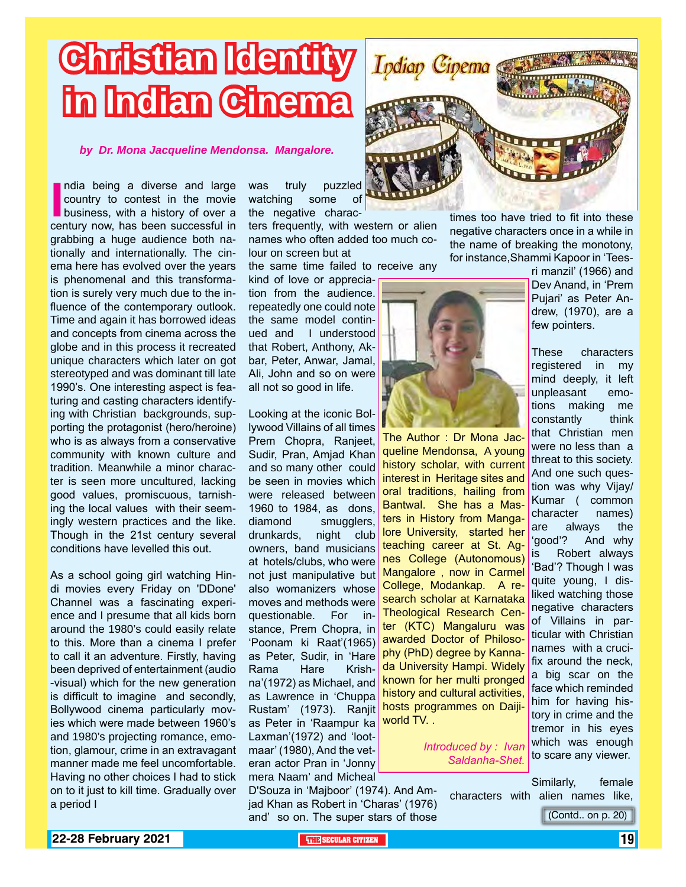# **Christian Identity in Indian Cinema**

*by Dr. Mona Jacqueline Mendonsa. Mangalore.*

India being a diverse and large<br>
country to contest in the movie<br>
business, with a history of over a<br>
century now, has been successful in ndia being a diverse and large country to contest in the movie business, with a history of over a grabbing a huge audience both nationally and internationally. The cinema here has evolved over the years is phenomenal and this transformation is surely very much due to the influence of the contemporary outlook. Time and again it has borrowed ideas and concepts from cinema across the globe and in this process it recreated unique characters which later on got stereotyped and was dominant till late 1990's. One interesting aspect is featuring and casting characters identifying with Christian backgrounds, supporting the protagonist (hero/heroine) who is as always from a conservative community with known culture and tradition. Meanwhile a minor character is seen more uncultured, lacking good values, promiscuous, tarnishing the local values with their seemingly western practices and the like. Though in the 21st century several conditions have levelled this out.

As a school going girl watching Hindi movies every Friday on 'DDone' Channel was a fascinating experience and I presume that all kids born around the 1980's could easily relate to this. More than a cinema I prefer to call it an adventure. Firstly, having been deprived of entertainment (audio -visual) which for the new generation is difficult to imagine and secondly, Bollywood cinema particularly movies which were made between 1960's and 1980's projecting romance, emotion, glamour, crime in an extravagant manner made me feel uncomfortable. Having no other choices I had to stick on to it just to kill time. Gradually over a period I

was truly puzzled watching some of the negative charac-

ters frequently, with western or alien names who often added too much colour on screen but at

the same time failed to receive any

kind of love or appreciation from the audience. repeatedly one could note the same model continued and I understood that Robert, Anthony, Akbar, Peter, Anwar, Jamal, Ali, John and so on were all not so good in life.

Looking at the iconic Bollywood Villains of all times Prem Chopra, Ranjeet, Sudir, Pran, Amjad Khan and so many other could be seen in movies which were released between 1960 to 1984, as dons, diamond smugglers, drunkards, night club owners, band musicians at hotels/clubs, who were not just manipulative but also womanizers whose moves and methods were questionable. For instance, Prem Chopra, in 'Poonam ki Raat'(1965) as Peter, Sudir, in 'Hare Rama Hare Krishna'(1972) as Michael, and as Lawrence in 'Chuppa Rustam' (1973). Ranjit as Peter in 'Raampur ka Laxman'(1972) and 'lootmaar' (1980), And the veteran actor Pran in 'Jonny mera Naam' and Micheal

D'Souza in 'Majboor' (1974). And Amjad Khan as Robert in 'Charas' (1976) and' so on. The super stars of those



times too have tried to fit into these negative characters once in a while in the name of breaking the monotony, for instance,Shammi Kapoor in 'Tees-

The Author : Dr Mona Jacqueline Mendonsa, A young history scholar, with current interest in Heritage sites and oral traditions, hailing from Bantwal. She has a Masters in History from Mangalore University, started her teaching career at St. Agnes College (Autonomous) Mangalore , now in Carmel College, Modankap. A research scholar at Karnataka Theological Research Center (KTC) Mangaluru was awarded Doctor of Philosophy (PhD) degree by Kannada University Hampi. Widely known for her multi pronged history and cultural activities, hosts programmes on Daijiworld TV. .

> *Introduced by : Ivan Saldanha-Shet.*

ri manzil' (1966) and Dev Anand, in 'Prem Pujari' as Peter Andrew, (1970), are a few pointers.

These characters registered in my mind deeply, it left unpleasant emotions making me constantly think that Christian men were no less than a threat to this society. And one such question was why Vijay/ Kumar ( common character names) are always the 'good'? And why is Robert always 'Bad'? Though I was quite young, I disliked watching those negative characters of Villains in particular with Christian names with a crucifix around the neck, a big scar on the face which reminded him for having history in crime and the tremor in his eyes which was enough to scare any viewer.

Similarly, female characters with alien names like,

(Contd.. on p. 20)